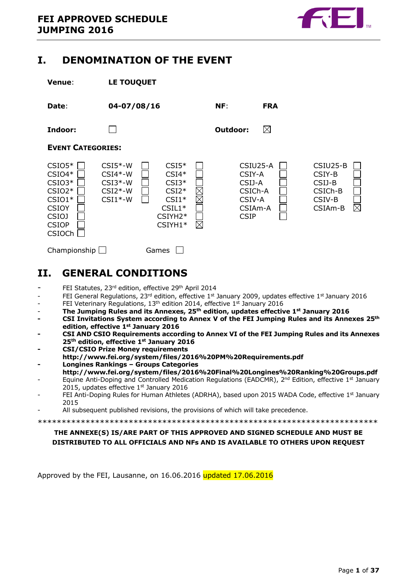

### <span id="page-0-0"></span>**I. DENOMINATION OF THE EVENT**



## <span id="page-0-1"></span>**II. GENERAL CONDITIONS**

- FEI Statutes, 23rd edition, effective 29<sup>th</sup> April 2014
- FEI General Regulations, 23<sup>rd</sup> edition, effective 1st January 2009, updates effective 1st January 2016
- FEI Veterinary Regulations, 13<sup>th</sup> edition 2014, effective 1<sup>st</sup> January 2016
- **The Jumping Rules and its Annexes, 25th edition, updates effective 1st January 2016**
- **- CSI Invitations System according to Annex V of the FEI Jumping Rules and its Annexes 25th edition, effective 1st January 2016**
- **- CSI AND CSIO Requirements according to Annex VI of the FEI Jumping Rules and its Annexes 25th edition, effective 1st January 2016**
- **- CSI/CSIO Prize Money requirements**
- **http://www.fei.org/system/files/2016%20PM%20Requirements.pdf - Longines Rankings – Groups Categories**
- **<http://www.fei.org/system/files/2016%20Final%20Longines%20Ranking%20Groups.pdf>**
- Equine Anti-Doping and Controlled Medication Regulations (EADCMR),  $2^{nd}$  Edition, effective  $1^{st}$  January 2015, updates effective 1<sup>st</sup> January 2016
- FEI Anti-Doping Rules for Human Athletes (ADRHA), based upon 2015 WADA Code, effective  $1^{st}$  January 2015
- All subsequent published revisions, the provisions of which will take precedence.

```
***********************************************************************
```
### **THE ANNEXE(S) IS/ARE PART OF THIS APPROVED AND SIGNED SCHEDULE AND MUST BE DISTRIBUTED TO ALL OFFICIALS AND NFs AND IS AVAILABLE TO OTHERS UPON REQUEST**

Approved by the FEI, Lausanne, on 16.06.2016 updated 17.06.2016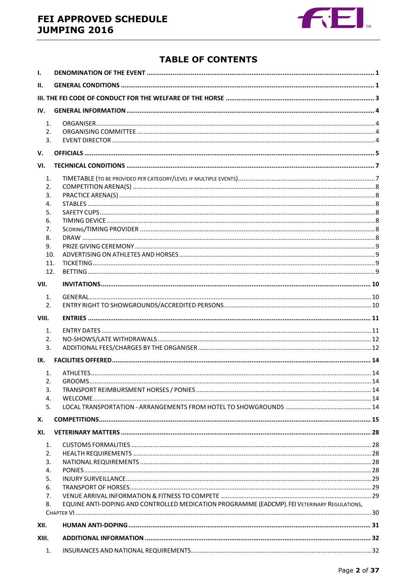### FEI APPROVED SCHEDULE **JUMPING 2016**



### **TABLE OF CONTENTS**

| ı.             |                                                                                              |  |  |  |  |
|----------------|----------------------------------------------------------------------------------------------|--|--|--|--|
| Н.             |                                                                                              |  |  |  |  |
|                |                                                                                              |  |  |  |  |
| IV.            |                                                                                              |  |  |  |  |
| $\mathbf{1}$ . |                                                                                              |  |  |  |  |
| 2.             |                                                                                              |  |  |  |  |
| 3.             |                                                                                              |  |  |  |  |
| V.             |                                                                                              |  |  |  |  |
| VI.            |                                                                                              |  |  |  |  |
| 1.             |                                                                                              |  |  |  |  |
| 2.             |                                                                                              |  |  |  |  |
| 3.             |                                                                                              |  |  |  |  |
| 4.             |                                                                                              |  |  |  |  |
| 5.             |                                                                                              |  |  |  |  |
| 6.             |                                                                                              |  |  |  |  |
| 7.             |                                                                                              |  |  |  |  |
| 8.             |                                                                                              |  |  |  |  |
| 9.             |                                                                                              |  |  |  |  |
| 10.            |                                                                                              |  |  |  |  |
| 11.            |                                                                                              |  |  |  |  |
| 12.            |                                                                                              |  |  |  |  |
| VII.           |                                                                                              |  |  |  |  |
| 1.             |                                                                                              |  |  |  |  |
| 2.             |                                                                                              |  |  |  |  |
|                |                                                                                              |  |  |  |  |
| VIII.          |                                                                                              |  |  |  |  |
| $\mathbf{1}$ . |                                                                                              |  |  |  |  |
| 2.             |                                                                                              |  |  |  |  |
| 3.             |                                                                                              |  |  |  |  |
| IX.            |                                                                                              |  |  |  |  |
| 1.             |                                                                                              |  |  |  |  |
| 2.             |                                                                                              |  |  |  |  |
| 3.             |                                                                                              |  |  |  |  |
| 4.             |                                                                                              |  |  |  |  |
| 5.             |                                                                                              |  |  |  |  |
| Х.             |                                                                                              |  |  |  |  |
| XI.            |                                                                                              |  |  |  |  |
| $\mathbf{1}$ . |                                                                                              |  |  |  |  |
| 2.             |                                                                                              |  |  |  |  |
| 3.             |                                                                                              |  |  |  |  |
| 4.             |                                                                                              |  |  |  |  |
| 5.             |                                                                                              |  |  |  |  |
| 6.             |                                                                                              |  |  |  |  |
| 7.             |                                                                                              |  |  |  |  |
| 8.             | EQUINE ANTI-DOPING AND CONTROLLED MEDICATION PROGRAMME (EADCMP). FEI VETERINARY REGULATIONS, |  |  |  |  |
|                |                                                                                              |  |  |  |  |
| XII.           |                                                                                              |  |  |  |  |
| XIII.          |                                                                                              |  |  |  |  |
| 1.             |                                                                                              |  |  |  |  |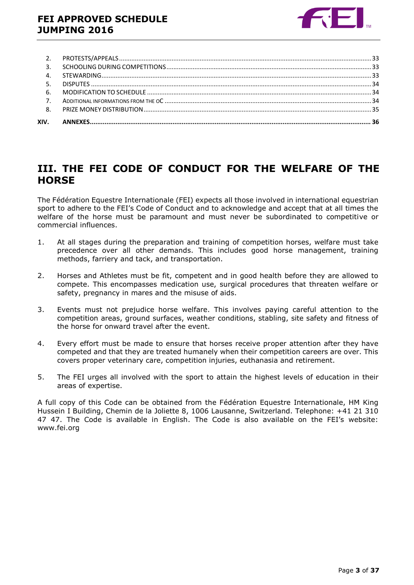

### <span id="page-2-0"></span>**III. THE FEI CODE OF CONDUCT FOR THE WELFARE OF THE HORSE**

The Fédération Equestre Internationale (FEI) expects all those involved in international equestrian sport to adhere to the FEI's Code of Conduct and to acknowledge and accept that at all times the welfare of the horse must be paramount and must never be subordinated to competitive or commercial influences.

- 1. At all stages during the preparation and training of competition horses, welfare must take precedence over all other demands. This includes good horse management, training methods, farriery and tack, and transportation.
- 2. Horses and Athletes must be fit, competent and in good health before they are allowed to compete. This encompasses medication use, surgical procedures that threaten welfare or safety, pregnancy in mares and the misuse of aids.
- 3. Events must not prejudice horse welfare. This involves paying careful attention to the competition areas, ground surfaces, weather conditions, stabling, site safety and fitness of the horse for onward travel after the event.
- 4. Every effort must be made to ensure that horses receive proper attention after they have competed and that they are treated humanely when their competition careers are over. This covers proper veterinary care, competition injuries, euthanasia and retirement.
- 5. The FEI urges all involved with the sport to attain the highest levels of education in their areas of expertise.

A full copy of this Code can be obtained from the Fédération Equestre Internationale, HM King Hussein I Building, Chemin de la Joliette 8, 1006 Lausanne, Switzerland. Telephone: +41 21 310 47 47. The Code is available in English. The Code is also available on the FEI's website: www.fei.org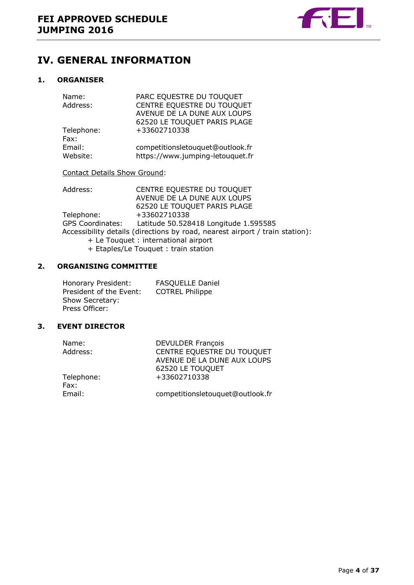

## <span id="page-3-0"></span>**IV. GENERAL INFORMATION**

### <span id="page-3-1"></span>**1. ORGANISER**

| PARC EQUESTRE DU TOUQUET         |
|----------------------------------|
| CENTRE EQUESTRE DU TOUQUET       |
| AVENUE DE LA DUNE AUX LOUPS      |
| 62520 LE TOUQUET PARIS PLAGE     |
| +33602710338                     |
|                                  |
| competitionsletouquet@outlook.fr |
| https://www.jumping-letouquet.fr |
|                                  |

### Contact Details Show Ground:

| Address:   | CENTRE EQUESTRE DU TOUQUET                                                                                                                                                                                                                                                                                                                                                                                                                                                                 |
|------------|--------------------------------------------------------------------------------------------------------------------------------------------------------------------------------------------------------------------------------------------------------------------------------------------------------------------------------------------------------------------------------------------------------------------------------------------------------------------------------------------|
|            | AVENUE DE LA DUNE AUX LOUPS                                                                                                                                                                                                                                                                                                                                                                                                                                                                |
|            | 62520 LE TOUQUET PARIS PLAGE                                                                                                                                                                                                                                                                                                                                                                                                                                                               |
| Telephone: | +33602710338                                                                                                                                                                                                                                                                                                                                                                                                                                                                               |
|            | GPS Coordinates: Latitude 50.528418 Longitude 1.595585                                                                                                                                                                                                                                                                                                                                                                                                                                     |
|            | Accessibility details (directions by road, nearest airport / train station):                                                                                                                                                                                                                                                                                                                                                                                                               |
|            | + Le Touquet : international airport                                                                                                                                                                                                                                                                                                                                                                                                                                                       |
|            | $\blacksquare$ $\blacksquare$ $\blacksquare$ $\blacksquare$ $\blacksquare$ $\blacksquare$ $\blacksquare$ $\blacksquare$ $\blacksquare$ $\blacksquare$ $\blacksquare$ $\blacksquare$ $\blacksquare$ $\blacksquare$ $\blacksquare$ $\blacksquare$ $\blacksquare$ $\blacksquare$ $\blacksquare$ $\blacksquare$ $\blacksquare$ $\blacksquare$ $\blacksquare$ $\blacksquare$ $\blacksquare$ $\blacksquare$ $\blacksquare$ $\blacksquare$ $\blacksquare$ $\blacksquare$ $\blacksquare$ $\blacks$ |

+ Etaples/Le Touquet : train station

### <span id="page-3-2"></span>**2. ORGANISING COMMITTEE**

| Honorary President:     | <b>FASQUELLE Daniel</b> |
|-------------------------|-------------------------|
| President of the Event: | <b>COTREL Philippe</b>  |
| Show Secretary:         |                         |
| Press Officer:          |                         |

### <span id="page-3-3"></span>**3. EVENT DIRECTOR**

| <b>DEVULDER François</b>         |
|----------------------------------|
| CENTRE EQUESTRE DU TOUQUET       |
| AVENUE DE LA DUNE AUX LOUPS      |
| 62520 LE TOUQUET                 |
| +33602710338                     |
|                                  |
| competitionsletouquet@outlook.fr |
|                                  |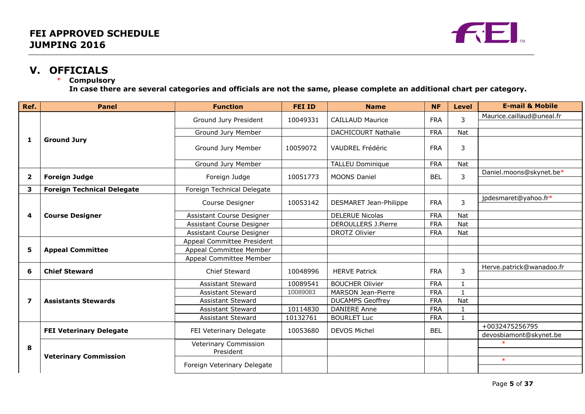

# **V. OFFICIALS**

### **Compulsory**

**In case there are several categories and officials are not the same, please complete an additional chart per category.**

<span id="page-4-0"></span>

| Ref.                    | <b>Panel</b>                      | <b>Function</b>              | <b>FEI ID</b> | <b>Name</b>                | <b>NF</b>  | <b>Level</b>   | <b>E-mail &amp; Mobile</b> |
|-------------------------|-----------------------------------|------------------------------|---------------|----------------------------|------------|----------------|----------------------------|
|                         |                                   | Ground Jury President        | 10049331      | <b>CAILLAUD Maurice</b>    | <b>FRA</b> | 3              | Maurice.caillaud@uneal.fr  |
|                         |                                   |                              |               |                            |            |                |                            |
|                         |                                   | Ground Jury Member           |               | <b>DACHICOURT Nathalie</b> | <b>FRA</b> | <b>Nat</b>     |                            |
| 1                       | <b>Ground Jury</b>                | Ground Jury Member           | 10059072      | VAUDREL Frédéric           | <b>FRA</b> | 3              |                            |
|                         |                                   | Ground Jury Member           |               | <b>TALLEU Dominique</b>    | <b>FRA</b> | Nat            |                            |
| $\overline{\mathbf{2}}$ | <b>Foreign Judge</b>              | Foreign Judge                | 10051773      | <b>MOONS Daniel</b>        | <b>BFI</b> | $\overline{3}$ | Daniel.moons@skynet.be*    |
| 3                       | <b>Foreign Technical Delegate</b> | Foreign Technical Delegate   |               |                            |            |                |                            |
|                         |                                   | Course Designer              | 10053142      | DESMARET Jean-Philippe     | <b>FRA</b> | 3              | jpdesmaret@yahoo.fr*       |
| 4                       | <b>Course Designer</b>            | Assistant Course Designer    |               | <b>DELERUE Nicolas</b>     | <b>FRA</b> | Nat            |                            |
|                         |                                   | Assistant Course Designer    |               | <b>DEROULLERS J.Pierre</b> | <b>FRA</b> | <b>Nat</b>     |                            |
|                         |                                   | Assistant Course Designer    |               | DROTZ Olivier              | <b>FRA</b> | Nat            |                            |
|                         | <b>Appeal Committee</b>           | Appeal Committee President   |               |                            |            |                |                            |
| 5                       |                                   | Appeal Committee Member      |               |                            |            |                |                            |
|                         |                                   | Appeal Committee Member      |               |                            |            |                |                            |
| 6                       | <b>Chief Steward</b>              | <b>Chief Steward</b>         | 10048996      | <b>HERVE Patrick</b>       | <b>FRA</b> | 3              | Herve.patrick@wanadoo.fr   |
|                         |                                   | <b>Assistant Steward</b>     | 10089541      | <b>BOUCHER Olivier</b>     | <b>FRA</b> |                |                            |
|                         | <b>Assistants Stewards</b>        | <b>Assistant Steward</b>     | 10089083      | <b>MARSON Jean-Pierre</b>  | <b>FRA</b> |                |                            |
| $\overline{\mathbf{z}}$ |                                   | <b>Assistant Steward</b>     |               | <b>DUCAMPS Geoffrey</b>    | <b>FRA</b> | Nat            |                            |
|                         |                                   | <b>Assistant Steward</b>     | 10114830      | <b>DANIERE Anne</b>        | <b>FRA</b> |                |                            |
|                         |                                   | <b>Assistant Steward</b>     | 10132761      | <b>BOURLET Luc</b>         | <b>FRA</b> | $\mathbf{1}$   |                            |
| 8                       | <b>FEI Veterinary Delegate</b>    | FEI Veterinary Delegate      | 10053680      | <b>DEVOS Michel</b>        | <b>BEL</b> |                | +0032475256795             |
|                         |                                   |                              |               |                            |            |                | devosbiamont@skynet.be     |
|                         |                                   | <b>Veterinary Commission</b> |               |                            |            |                | $\ast$                     |
|                         | <b>Veterinary Commission</b>      | President                    |               |                            |            |                |                            |
|                         |                                   | Foreign Veterinary Delegate  |               |                            |            |                | $\ast$                     |
|                         |                                   |                              |               |                            |            |                |                            |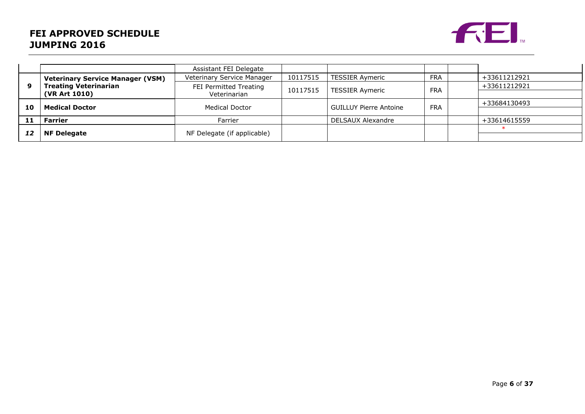### **FEI APPROVED SCHEDULE JUMPING 2016**



|    |                                         | Assistant FEI Delegate      |          |                               |              |              |
|----|-----------------------------------------|-----------------------------|----------|-------------------------------|--------------|--------------|
|    | <b>Veterinary Service Manager (VSM)</b> | Veterinary Service Manager  | 10117515 | <b>TESSIER Aymeric</b>        | <b>FRA</b>   | +33611212921 |
| 9  | <b>Treating Veterinarian</b>            | FEI Permitted Treating      | 10117515 | <b>FRA</b>                    | +33611212921 |              |
|    | (VR Art 1010)                           | Veterinarian                |          | <b>TESSIER Aymeric</b>        |              |              |
| 10 | <b>Medical Doctor</b>                   | Medical Doctor              |          | <b>GUILLUY Pierre Antoine</b> | <b>FRA</b>   | +33684130493 |
|    |                                         |                             |          |                               |              |              |
| 11 | Farrier                                 | Farrier                     |          | DELSAUX Alexandre             |              | +33614615559 |
|    |                                         |                             |          |                               |              |              |
|    | <b>NF Delegate</b>                      | NF Delegate (if applicable) |          |                               |              |              |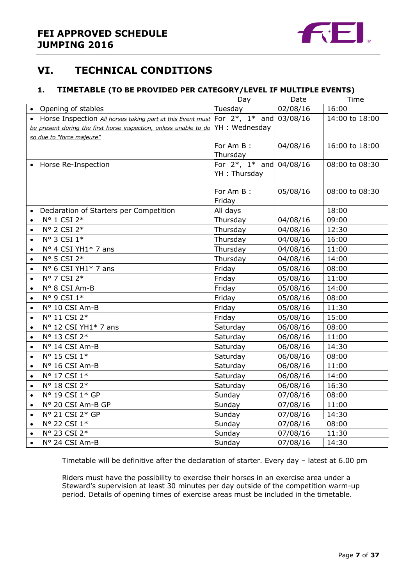

### <span id="page-6-0"></span>**VI. TECHNICAL CONDITIONS**

### <span id="page-6-1"></span>**1. TIMETABLE (TO BE PROVIDED PER CATEGORY/LEVEL IF MULTIPLE EVENTS)**

|           |                                                                                             | Day                              | Date     | Time           |
|-----------|---------------------------------------------------------------------------------------------|----------------------------------|----------|----------------|
|           | • Opening of stables                                                                        | Tuesday                          | 02/08/16 | 16:00          |
|           | • Horse Inspection All horses taking part at this Event must For $2^*$ , $1^*$ and 03/08/16 |                                  |          | 14:00 to 18:00 |
|           | be present during the first horse inspection, unless unable to do YH : Wednesday            |                                  |          |                |
|           | so due to "force majeure"                                                                   |                                  |          |                |
|           |                                                                                             | For Am B:                        | 04/08/16 | 16:00 to 18:00 |
|           |                                                                                             | Thursday                         |          |                |
|           | • Horse Re-Inspection                                                                       | For $2^*$ , $1^*$ and $04/08/16$ |          | 08:00 to 08:30 |
|           |                                                                                             | YH: Thursday                     |          |                |
|           |                                                                                             |                                  |          |                |
|           |                                                                                             | For Am B:                        | 05/08/16 | 08:00 to 08:30 |
|           |                                                                                             | Friday                           |          |                |
|           | Declaration of Starters per Competition                                                     | All days                         |          | 18:00          |
| $\bullet$ | N° 1 CSI 2*<br>N° 2 CSI 2*                                                                  | Thursday                         | 04/08/16 | 09:00          |
| $\bullet$ |                                                                                             | Thursday                         | 04/08/16 | 12:30          |
| $\bullet$ | N° 3 CSI 1*                                                                                 | Thursday                         | 04/08/16 | 16:00          |
| $\bullet$ | Nº 4 CSI YH1* 7 ans                                                                         | Thursday                         | 04/08/16 | 11:00          |
| $\bullet$ | Nº 5 CSI 2*                                                                                 | Thursday                         | 04/08/16 | 14:00          |
| $\bullet$ | N° 6 CSI YH1* 7 ans                                                                         | Friday                           | 05/08/16 | 08:00          |
| $\bullet$ | Nº 7 CSI 2*                                                                                 | Friday                           | 05/08/16 | 11:00          |
| $\bullet$ | N° 8 CSI Am-B                                                                               | Friday                           | 05/08/16 | 14:00          |
| $\bullet$ | N° 9 CSI 1*                                                                                 | Friday                           | 05/08/16 | 08:00          |
| $\bullet$ | Nº 10 CSI Am-B                                                                              | Friday                           | 05/08/16 | 11:30          |
| $\bullet$ | Nº 11 CSI 2*                                                                                | Friday                           | 05/08/16 | 15:00          |
| $\bullet$ | Nº 12 CSI YH1* 7 ans                                                                        | Saturday                         | 06/08/16 | 08:00          |
| $\bullet$ | Nº 13 CSI 2*                                                                                | Saturday                         | 06/08/16 | 11:00          |
| $\bullet$ | Nº 14 CSI Am-B                                                                              | Saturday                         | 06/08/16 | 14:30          |
| $\bullet$ | N° 15 CSI 1*                                                                                | Saturday                         | 06/08/16 | 08:00          |
| $\bullet$ | Nº 16 CSI Am-B                                                                              | Saturday                         | 06/08/16 | 11:00          |
| $\bullet$ | N° 17 CSI 1*                                                                                | Saturday                         | 06/08/16 | 14:00          |
| $\bullet$ | N° 18 CSI 2*                                                                                | Saturday                         | 06/08/16 | 16:30          |
| $\bullet$ | N° 19 CSI 1* GP                                                                             | Sunday                           | 07/08/16 | 08:00          |
| $\bullet$ | N° 20 CSI Am-B GP                                                                           | Sunday                           | 07/08/16 | 11:00          |
| $\bullet$ | Nº 21 CSI 2* GP                                                                             | Sunday                           | 07/08/16 | 14:30          |
| $\bullet$ | N° 22 CSI 1*                                                                                | Sunday                           | 07/08/16 | 08:00          |
| $\bullet$ | Nº 23 CSI 2*                                                                                | Sunday                           | 07/08/16 | 11:30          |
| $\bullet$ | Nº 24 CSI Am-B                                                                              | Sunday                           | 07/08/16 | 14:30          |

Timetable will be definitive after the declaration of starter. Every day – latest at 6.00 pm

Riders must have the possibility to exercise their horses in an exercise area under a Steward's supervision at least 30 minutes per day outside of the competition warm-up period. Details of opening times of exercise areas must be included in the timetable.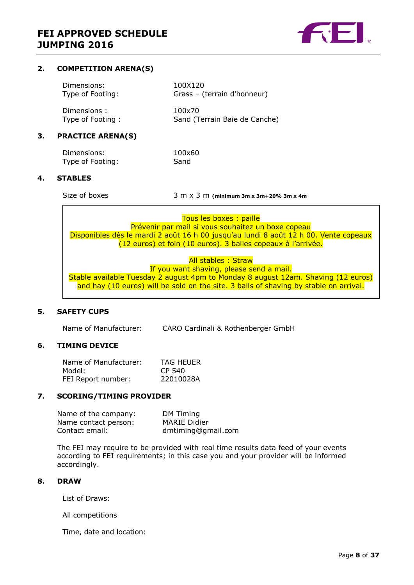

### <span id="page-7-0"></span>**2. COMPETITION ARENA(S)**

| Dimensions:      | 100X120                       |
|------------------|-------------------------------|
| Type of Footing: | Grass - (terrain d'honneur)   |
| Dimensions:      | 100x70                        |
| Type of Footing: | Sand (Terrain Baie de Canche) |

### <span id="page-7-1"></span>**3. PRACTICE ARENA(S)**

| Dimensions:      | 100×60 |
|------------------|--------|
| Type of Footing: | Sand   |

### <span id="page-7-2"></span>**4. STABLES**

Size of boxes 3 m x 3 m **(minimum 3m x 3m+20% 3m x 4m**

Tous les boxes : paille Prévenir par mail si vous souhaitez un boxe copeau Disponibles dès le mardi 2 août 16 h 00 jusqu'au lundi 8 août 12 h 00. Vente copeaux (12 euros) et foin (10 euros). 3 balles copeaux à l'arrivée.

All stables : Straw If you want shaving, please send a mail. Stable available Tuesday 2 august 4pm to Monday 8 august 12am. Shaving (12 euros) and hay (10 euros) will be sold on the site. 3 balls of shaving by stable on arrival.

### <span id="page-7-3"></span>**5. SAFETY CUPS**

Name of Manufacturer: CARO Cardinali & Rothenberger GmbH

### <span id="page-7-4"></span>**6. TIMING DEVICE**

| Name of Manufacturer: | <b>TAG HEUER</b> |
|-----------------------|------------------|
| Model:                | CP 540           |
| FEI Report number:    | 22010028A        |

### <span id="page-7-5"></span>**7. SCORING/TIMING PROVIDER**

| Name of the company: | DM Timing           |
|----------------------|---------------------|
| Name contact person: | <b>MARIE Didier</b> |
| Contact email:       | dmtiming@gmail.com  |

The FEI may require to be provided with real time results data feed of your events according to FEI requirements; in this case you and your provider will be informed accordingly.

#### <span id="page-7-6"></span>**8. DRAW**

List of Draws:

All competitions

Time, date and location: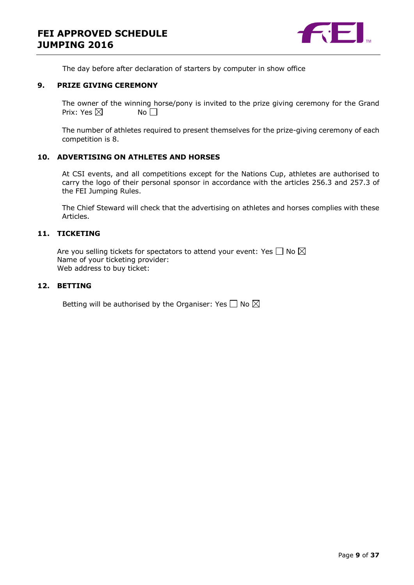

The day before after declaration of starters by computer in show office

#### <span id="page-8-0"></span>**9. PRIZE GIVING CEREMONY**

The owner of the winning horse/pony is invited to the prize giving ceremony for the Grand Prix: Yes  $\boxtimes$  No  $\Box$ 

The number of athletes required to present themselves for the prize-giving ceremony of each competition is 8.

### <span id="page-8-1"></span>**10. ADVERTISING ON ATHLETES AND HORSES**

At CSI events, and all competitions except for the Nations Cup, athletes are authorised to carry the logo of their personal sponsor in accordance with the articles 256.3 and 257.3 of the FEI Jumping Rules.

The Chief Steward will check that the advertising on athletes and horses complies with these Articles.

### <span id="page-8-2"></span>**11. TICKETING**

Are you selling tickets for spectators to attend your event: Yes  $\Box$  No  $\boxtimes$ Name of your ticketing provider: Web address to buy ticket:

### <span id="page-8-3"></span>**12. BETTING**

Betting will be authorised by the Organiser: Yes  $\Box$  No  $\boxtimes$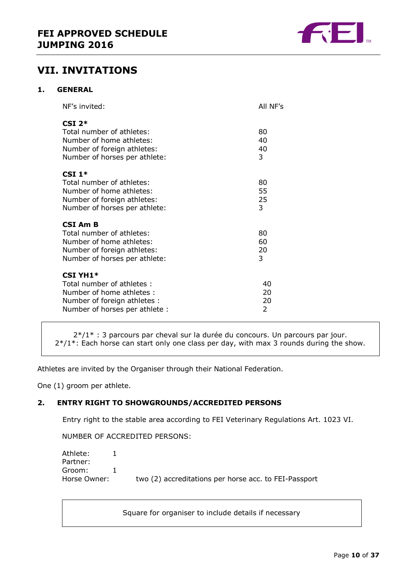

### <span id="page-9-0"></span>**VII. INVITATIONS**

### <span id="page-9-1"></span>**1. GENERAL**

| NF's invited:                                                                                                                              | All NF's            |
|--------------------------------------------------------------------------------------------------------------------------------------------|---------------------|
| $CSI$ 2*<br>Total number of athletes:<br>Number of home athletes:<br>Number of foreign athletes:<br>Number of horses per athlete:          | 80<br>40<br>40<br>3 |
| CSI $1*$<br>Total number of athletes:<br>Number of home athletes:<br>Number of foreign athletes:<br>Number of horses per athlete:          | 80<br>55<br>25<br>3 |
| CSI Am B<br>Total number of athletes:<br>Number of home athletes:<br>Number of foreign athletes:<br>Number of horses per athlete:          | 80<br>60<br>20<br>3 |
| <b>CSI YH1*</b><br>Total number of athletes:<br>Number of home athletes:<br>Number of foreign athletes :<br>Number of horses per athlete : | 40<br>20<br>20<br>2 |

2\*/1\* : 3 parcours par cheval sur la durée du concours. Un parcours par jour.  $2*/1*$ : Each horse can start only one class per day, with max 3 rounds during the show.

Athletes are invited by the Organiser through their National Federation.

One (1) groom per athlete.

### <span id="page-9-2"></span>**2. ENTRY RIGHT TO SHOWGROUNDS/ACCREDITED PERSONS**

Entry right to the stable area according to FEI Veterinary Regulations Art. 1023 VI.

NUMBER OF ACCREDITED PERSONS:

```
Athlete: 1
Partner:
Groom: 1
Horse Owner: two (2) accreditations per horse acc. to FEI-Passport
```
Square for organiser to include details if necessary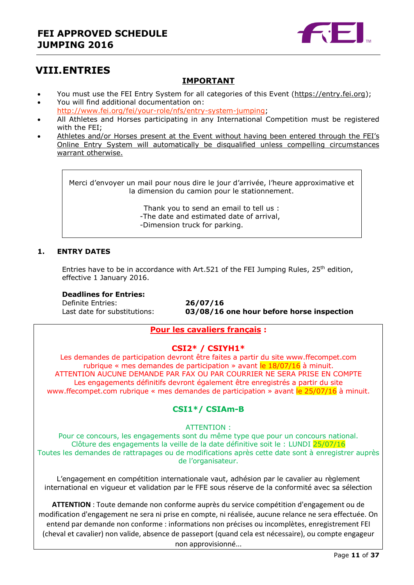

## <span id="page-10-0"></span>**VIII.ENTRIES**

### **IMPORTANT**

- You must use the FEI Entry System for all categories of this Event [\(https://entry.fei.org\)](https://entry.fei.org/);
- You will find additional documentation on: [http://www.fei.org/fei/your-role/nfs/entry-system-jumping;](http://www.fei.org/fei/your-role/nfs/entry-system-jumping)
- All Athletes and Horses participating in any International Competition must be registered with the FEI;
- Athletes and/or Horses present at the Event without having been entered through the FEI's Online Entry System will automatically be disqualified unless compelling circumstances warrant otherwise.

Merci d'envoyer un mail pour nous dire le jour d'arrivée, l'heure approximative et la dimension du camion pour le stationnement.

> Thank you to send an email to tell us : -The date and estimated date of arrival, -Dimension truck for parking.

### <span id="page-10-1"></span>**1. ENTRY DATES**

Entries have to be in accordance with Art.521 of the FEI Jumping Rules,  $25<sup>th</sup>$  edition, effective 1 January 2016.

### **Deadlines for Entries:**

Definite Entries: **26/07/16**

Last date for substitutions: **03/08/16 one hour before horse inspection**

### **Pour les cavaliers français :**

### **CSI2\* / CSIYH1\***

Les demandes de participation devront être faites a partir du site www.ffecompet.com rubrique « mes demandes de participation » avant le  $18/07/16$  à minuit. ATTENTION AUCUNE DEMANDE PAR FAX OU PAR COURRIER NE SERA PRISE EN COMPTE Les engagements définitifs devront également être enregistrés a partir du site www.ffecompet.com rubrique « mes demandes de participation » avant le 25/07/16 à minuit.

### **CSI1\*/ CSIAm-B**

ATTENTION :

Pour ce concours, les engagements sont du même type que pour un concours national. Clôture des engagements la veille de la date définitive soit le : LUNDI 25/07/16 Toutes les demandes de rattrapages ou de modifications après cette date sont à enregistrer auprès de l'organisateur.

L'engagement en compétition internationale vaut, adhésion par le cavalier au règlement international en vigueur et validation par le FFE sous réserve de la conformité avec sa sélection

**ATTENTION** : Toute demande non conforme auprès du service compétition d'engagement ou de modification d'engagement ne sera ni prise en compte, ni réalisée, aucune relance ne sera effectuée. On entend par demande non conforme : informations non précises ou incomplètes, enregistrement FEI (cheval et cavalier) non valide, absence de passeport (quand cela est nécessaire), ou compte engageur non approvisionné...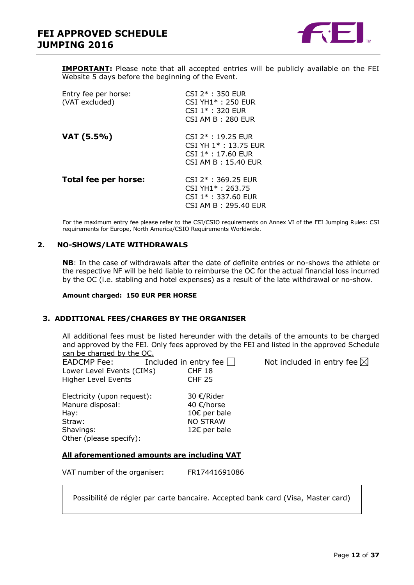

**IMPORTANT:** Please note that all accepted entries will be publicly available on the FEI Website 5 days before the beginning of the Event.

| Entry fee per horse:<br>(VAT excluded) | $CSI$ $2*$ : 350 FUR<br>$CSI YH1* : 250 FUR$<br>$CSI$ 1* : 320 FUR<br>$CSI$ AM B : 280 EUR                |
|----------------------------------------|-----------------------------------------------------------------------------------------------------------|
| VAT (5.5%)                             | $CSI$ 2* : 19.25 FUR<br>CSI YH 1 <sup>*</sup> : 13.75 EUR<br>$CSI$ 1* : 17.60 EUR<br>CSI AM B: 15.40 FUR  |
| Total fee per horse:                   | $CSI$ $2*$ : 369.25 EUR<br>CSI YH1 <sup>*</sup> : 263.75<br>$CSI$ 1* : 337.60 EUR<br>CSI AM B: 295.40 EUR |

For the maximum entry fee please refer to the CSI/CSIO requirements on Annex VI of the FEI Jumping Rules: CSI requirements for Europe, North America/CSIO Requirements Worldwide.

### <span id="page-11-0"></span>**2. NO-SHOWS/LATE WITHDRAWALS**

**NB**: In the case of withdrawals after the date of definite entries or no-shows the athlete or the respective NF will be held liable to reimburse the OC for the actual financial loss incurred by the OC (i.e. stabling and hotel expenses) as a result of the late withdrawal or no-show.

**Amount charged: 150 EUR PER HORSE**

### <span id="page-11-1"></span>**3. ADDITIONAL FEES/CHARGES BY THE ORGANISER**

All additional fees must be listed hereunder with the details of the amounts to be charged and approved by the FEI. Only fees approved by the FEI and listed in the approved Schedule can be charged by the OC.

EADCMP Fee: Included in entry fee  $\Box$  Not included in entry fee  $\boxtimes$ Lower Level Events (CIMs) CHF 18 Higher Level Events CHF 25

Electricity (upon request): 30 €/Rider Manure disposal: 40 €/horse Hay: 10€ per bale Straw: NO STRAW Shavings: 12€ per bale Other (please specify):

### **All aforementioned amounts are including VAT**

VAT number of the organiser: FR17441691086

Possibilité de régler par carte bancaire. Accepted bank card (Visa, Master card)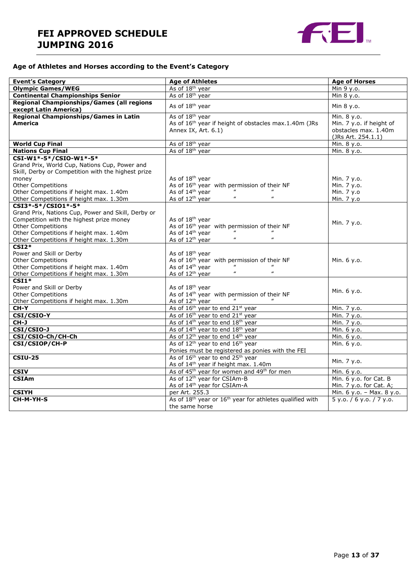### **FEI APPROVED SCHEDULE JUMPING 2016**



### **Age of Athletes and Horses according to the Event's Category**

| <b>Event's Category</b>                            | <b>Age of Athletes</b>                                                           | <b>Age of Horses</b>      |
|----------------------------------------------------|----------------------------------------------------------------------------------|---------------------------|
| <b>Olympic Games/WEG</b>                           | As of 18 <sup>th</sup> year                                                      | Min 9 y.o.                |
| <b>Continental Championships Senior</b>            | As of 18 <sup>th</sup> year                                                      | Min 8 y.o.                |
| Regional Championships/Games (all regions          |                                                                                  |                           |
| except Latin America)                              | As of 18 <sup>th</sup> year                                                      | Min 8 y.o.                |
| <b>Regional Championships/Games in Latin</b>       | As of 18 <sup>th</sup> year                                                      | Min. 8 y.o.               |
| <b>America</b>                                     | As of 16 <sup>th</sup> year if height of obstacles max.1.40m (JRs                | Min. 7 y.o. if height of  |
|                                                    | Annex IX, Art. 6.1)                                                              | obstacles max. 1.40m      |
|                                                    |                                                                                  | (JRs Art. 254.1.1)        |
| <b>World Cup Final</b>                             | As of 18 <sup>th</sup> year                                                      | Min. 8 y.o.               |
| <b>Nations Cup Final</b>                           | As of 18 <sup>th</sup> year                                                      | Min. 8 y.o.               |
| CSI-W1*-5*/CSIO-W1*-5*                             |                                                                                  |                           |
| Grand Prix, World Cup, Nations Cup, Power and      |                                                                                  |                           |
| Skill, Derby or Competition with the highest prize |                                                                                  |                           |
| money                                              | As of 18 <sup>th</sup> year                                                      | Min. 7 y.o.               |
| Other Competitions                                 | As of 16 <sup>th</sup> year with permission of their NF                          | Min. 7 y.o.               |
| Other Competitions if height max. 1.40m            | As of 14th year<br>$\overline{u}$                                                | Min. 7 y.o                |
| Other Competitions if height max. 1.30m            | $\mathbf{u}$<br>$\mathbf{u}$<br>As of 12 <sup>th</sup> year                      | Min. 7 y.o                |
| CSI3*-5*/CSI01*-5*                                 |                                                                                  |                           |
| Grand Prix, Nations Cup, Power and Skill, Derby or |                                                                                  |                           |
| Competition with the highest prize money           | As of 18 <sup>th</sup> year                                                      | Min. 7 y.o.               |
| <b>Other Competitions</b>                          | As of 16 <sup>th</sup> year with permission of their NF                          |                           |
| Other Competitions if height max. 1.40m            | As of 14th year                                                                  |                           |
| Other Competitions if height max. 1.30m            | $\boldsymbol{\mathit{u}}$<br>As of 12 <sup>th</sup> year<br>$\pmb{\mathcal{U}}$  |                           |
| $CSI2*$                                            |                                                                                  |                           |
| Power and Skill or Derby                           | As of 18 <sup>th</sup> year                                                      |                           |
| <b>Other Competitions</b>                          | As of 16 <sup>th</sup> year with permission of their NF                          | Min. 6 y.o.               |
| Other Competitions if height max. 1.40m            | As of 14 <sup>th</sup> year                                                      |                           |
| Other Competitions if height max. 1.30m            | $\boldsymbol{\mathit{u}}$<br>$\boldsymbol{\mu}$<br>As of 12 <sup>th</sup> year   |                           |
| $CSI1*$                                            |                                                                                  |                           |
| Power and Skill or Derby                           | As of 18 <sup>th</sup> year                                                      | Min. 6 y.o.               |
| <b>Other Competitions</b>                          | As of 14 <sup>th</sup> year with permission of their NF                          |                           |
| Other Competitions if height max. 1.30m            | As of 12 <sup>th</sup> year                                                      |                           |
| CH-Y                                               | As of 16 <sup>th</sup> year to end 21st year                                     | Min. 7 y.o.               |
| CSI/CSIO-Y                                         | As of 16 <sup>th</sup> year to end 21 <sup>st</sup> year                         | Min. 7 y.o.               |
| $CH-J$                                             | As of 14 <sup>th</sup> year to end 18 <sup>th</sup> year                         | Min. 7 y.o.               |
| CSI/CSIO-J                                         | As of 14 <sup>th</sup> year to end 18 <sup>th</sup> year                         | Min. 6 y.o.               |
| CSI/CSIO-Ch/CH-Ch                                  | As of 12 <sup>th</sup> year to end 14 <sup>th</sup> year                         | Min. 6 y.o.               |
| CSI/CSIOP/CH-P                                     | As of 12 <sup>th</sup> year to end 16 <sup>th</sup> year                         | $\overline{M}$ in. 6 y.o. |
|                                                    | Ponies must be registered as ponies with the FEI                                 |                           |
| <b>CSIU-25</b>                                     | As of 16 <sup>th</sup> year to end 25 <sup>th</sup> year                         | Min. 7 y.o.               |
|                                                    | As of 14 <sup>th</sup> year if height max. 1.40m                                 |                           |
| <b>CSIV</b>                                        | As of 45 <sup>th</sup> year for women and 49 <sup>th</sup> for men               | Min. 6 y.o.               |
| <b>CSIAm</b>                                       | As of 12 <sup>th</sup> year for CSIAm-B                                          | Min. 6 y.o. for Cat. B    |
|                                                    | As of 14 <sup>th</sup> year for CSIAm-A                                          | Min. 7 y.o. for Cat. A;   |
| <b>CSIYH</b>                                       | per Art. 255.3                                                                   | Min. 6 y.o. - Max. 8 y.o. |
| CH-M-YH-S                                          | As of 18 <sup>th</sup> year or 16 <sup>th</sup> year for athletes qualified with | 5 y.o. / 6 y.o. / 7 y.o.  |
|                                                    | the same horse                                                                   |                           |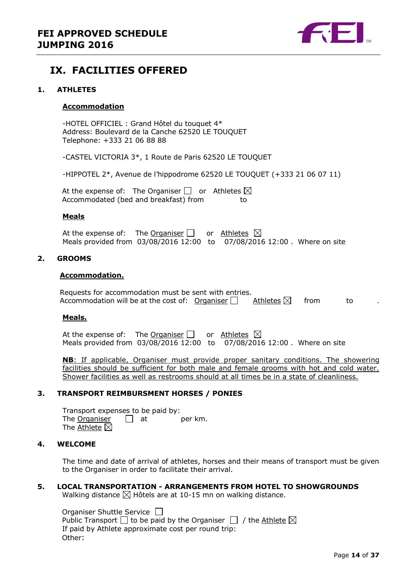

### <span id="page-13-0"></span>**IX. FACILITIES OFFERED**

### <span id="page-13-1"></span>**1. ATHLETES**

### **Accommodation**

-HOTEL OFFICIEL : Grand Hôtel du touquet 4\* Address: Boulevard de la Canche 62520 LE TOUQUET Telephone: +333 21 06 88 88

-CASTEL VICTORIA 3\*, 1 Route de Paris 62520 LE TOUQUET

-HIPPOTEL 2\*, Avenue de l'hippodrome 62520 LE TOUQUET (+333 21 06 07 11)

At the expense of: The Organiser  $\Box$  or Athletes  $\boxtimes$ Accommodated (bed and breakfast) from to

#### **Meals**

At the expense of: The Organiser  $\Box$  or Athletes  $\boxtimes$ Meals provided from 03/08/2016 12:00 to 07/08/2016 12:00 . Where on site

### <span id="page-13-2"></span>**2. GROOMS**

#### **Accommodation.**

Requests for accommodation must be sent with entries.<br>Accommodation will be at the cost of: Organiser  $\Box$  Athletes  $\boxtimes$ Accommodation will be at the cost of: Organiser  $\Box$  Athletes  $\boxtimes$  from to

#### **Meals.**

At the expense of: The Organiser  $\Box$  or Athletes  $\boxtimes$ Meals provided from 03/08/2016 12:00 to 07/08/2016 12:00 . Where on site

**NB**: If applicable, Organiser must provide proper sanitary conditions. The showering facilities should be sufficient for both male and female grooms with hot and cold water. Shower facilities as well as restrooms should at all times be in a state of cleanliness.

### <span id="page-13-3"></span>**3. TRANSPORT REIMBURSMENT HORSES / PONIES**

Transport expenses to be paid by: The Organiser  $\Box$  at per km. The Athlete  $\boxtimes$ 

### <span id="page-13-4"></span>**4. WELCOME**

The time and date of arrival of athletes, horses and their means of transport must be given to the Organiser in order to facilitate their arrival.

### <span id="page-13-5"></span>**5. LOCAL TRANSPORTATION - ARRANGEMENTS FROM HOTEL TO SHOWGROUNDS**

Walking distance  $\boxtimes$  Hôtels are at 10-15 mn on walking distance.

Organiser Shuttle Service  $\Box$ Public Transport  $\Box$  to be paid by the Organiser  $\Box$  / the Athlete  $\boxtimes$ If paid by Athlete approximate cost per round trip: Other: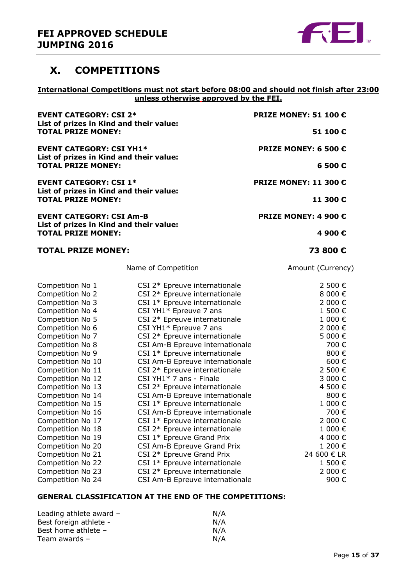

### <span id="page-14-0"></span>**X. COMPETITIONS**

### **International Competitions must not start before 08:00 and should not finish after 23:00 unless otherwise approved by the FEI.**

| <b>EVENT CATEGORY: CSI 2*</b><br>List of prizes in Kind and their value:<br><b>TOTAL PRIZE MONEY:</b><br><b>EVENT CATEGORY: CSI YH1*</b><br>List of prizes in Kind and their value:                                                                                                                                                                                                                                                          |                                                                                                                                                                                                                                                                                                                                                                                                                                                                                                                                                                                                                                                                                             | PRIZE MONEY: 51 100 €                                                                                                                                                                                           |  |
|----------------------------------------------------------------------------------------------------------------------------------------------------------------------------------------------------------------------------------------------------------------------------------------------------------------------------------------------------------------------------------------------------------------------------------------------|---------------------------------------------------------------------------------------------------------------------------------------------------------------------------------------------------------------------------------------------------------------------------------------------------------------------------------------------------------------------------------------------------------------------------------------------------------------------------------------------------------------------------------------------------------------------------------------------------------------------------------------------------------------------------------------------|-----------------------------------------------------------------------------------------------------------------------------------------------------------------------------------------------------------------|--|
|                                                                                                                                                                                                                                                                                                                                                                                                                                              |                                                                                                                                                                                                                                                                                                                                                                                                                                                                                                                                                                                                                                                                                             | 51 100€                                                                                                                                                                                                         |  |
|                                                                                                                                                                                                                                                                                                                                                                                                                                              |                                                                                                                                                                                                                                                                                                                                                                                                                                                                                                                                                                                                                                                                                             | PRIZE MONEY: 6 500 €                                                                                                                                                                                            |  |
|                                                                                                                                                                                                                                                                                                                                                                                                                                              | <b>TOTAL PRIZE MONEY:</b>                                                                                                                                                                                                                                                                                                                                                                                                                                                                                                                                                                                                                                                                   |                                                                                                                                                                                                                 |  |
| <b>EVENT CATEGORY: CSI 1*</b><br>List of prizes in Kind and their value:<br><b>TOTAL PRIZE MONEY:</b><br><b>EVENT CATEGORY: CSI Am-B</b><br>List of prizes in Kind and their value:<br><b>TOTAL PRIZE MONEY:</b>                                                                                                                                                                                                                             |                                                                                                                                                                                                                                                                                                                                                                                                                                                                                                                                                                                                                                                                                             | <b>PRIZE MONEY: 11 300 €</b>                                                                                                                                                                                    |  |
|                                                                                                                                                                                                                                                                                                                                                                                                                                              |                                                                                                                                                                                                                                                                                                                                                                                                                                                                                                                                                                                                                                                                                             | 11 300€                                                                                                                                                                                                         |  |
|                                                                                                                                                                                                                                                                                                                                                                                                                                              |                                                                                                                                                                                                                                                                                                                                                                                                                                                                                                                                                                                                                                                                                             | PRIZE MONEY: 4 900 €                                                                                                                                                                                            |  |
|                                                                                                                                                                                                                                                                                                                                                                                                                                              |                                                                                                                                                                                                                                                                                                                                                                                                                                                                                                                                                                                                                                                                                             | 4 900€                                                                                                                                                                                                          |  |
| <b>TOTAL PRIZE MONEY:</b>                                                                                                                                                                                                                                                                                                                                                                                                                    |                                                                                                                                                                                                                                                                                                                                                                                                                                                                                                                                                                                                                                                                                             | 73 800€                                                                                                                                                                                                         |  |
|                                                                                                                                                                                                                                                                                                                                                                                                                                              | Name of Competition                                                                                                                                                                                                                                                                                                                                                                                                                                                                                                                                                                                                                                                                         | Amount (Currency)                                                                                                                                                                                               |  |
| Competition No 1<br>Competition No 2<br>Competition No 3<br>Competition No 4<br>Competition No 5<br>Competition No 6<br>Competition No 7<br>Competition No 8<br>Competition No 9<br>Competition No 10<br>Competition No 11<br>Competition No 12<br>Competition No 13<br>Competition No 14<br>Competition No 15<br>Competition No 16<br>Competition No 17<br>Competition No 18<br>Competition No 19<br>Competition No 20<br>Competition No 21 | CSI 2* Epreuve internationale<br>CSI 2* Epreuve internationale<br>CSI 1* Epreuve internationale<br>CSI YH1* Epreuve 7 ans<br>CSI 2* Epreuve internationale<br>CSI YH1* Epreuve 7 ans<br>CSI 2* Epreuve internationale<br>CSI Am-B Epreuve internationale<br>CSI 1* Epreuve internationale<br>CSI Am-B Epreuve internationale<br>CSI 2* Epreuve internationale<br>CSI YH1* 7 ans - Finale<br>CSI 2* Epreuve internationale<br>CSI Am-B Epreuve internationale<br>CSI 1* Epreuve internationale<br>CSI Am-B Epreuve internationale<br>CSI 1* Epreuve internationale<br>CSI 2* Epreuve internationale<br>CSI 1* Epreuve Grand Prix<br>CSI Am-B Epreuve Grand Prix<br>CSI 2* Epreuve Grand Prix | 2 500 €<br>8 000€<br>2 000 €<br>1 500€<br>1 000€<br>2 000 €<br>5 000€<br>700€<br>800€<br>600€<br>2 500€<br>3 000 €<br>4 500 €<br>800€<br>1 000€<br>700€<br>2 000€<br>1 000€<br>4 000€<br>1 200 €<br>24 600 € LR |  |
| Competition No 22<br>Competition No 23<br>Competition No 24                                                                                                                                                                                                                                                                                                                                                                                  | CSI 1* Epreuve internationale<br>CSI 2* Epreuve internationale<br>CSI Am-B Epreuve internationale                                                                                                                                                                                                                                                                                                                                                                                                                                                                                                                                                                                           | 1 500€<br>2 000€<br>900€                                                                                                                                                                                        |  |

### **GENERAL CLASSIFICATION AT THE END OF THE COMPETITIONS:**

| Leading athlete award $-$ | N/A |
|---------------------------|-----|
| Best foreign athlete -    | N/A |
| Best home athlete -       | N/A |
| Team awards -             | N/A |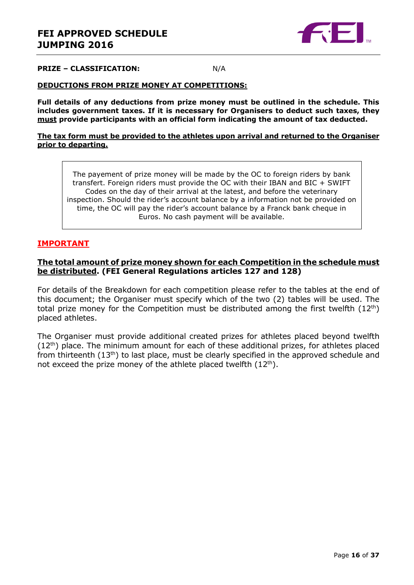

#### **PRIZE – CLASSIFICATION:** N/A

#### **DEDUCTIONS FROM PRIZE MONEY AT COMPETITIONS:**

**Full details of any deductions from prize money must be outlined in the schedule. This includes government taxes. If it is necessary for Organisers to deduct such taxes, they must provide participants with an official form indicating the amount of tax deducted.** 

#### **The tax form must be provided to the athletes upon arrival and returned to the Organiser prior to departing.**

The payement of prize money will be made by the OC to foreign riders by bank transfert. Foreign riders must provide the OC with their IBAN and BIC + SWIFT Codes on the day of their arrival at the latest, and before the veterinary inspection. Should the rider's account balance by a information not be provided on time, the OC will pay the rider's account balance by a Franck bank cheque in Euros. No cash payment will be available.

### **IMPORTANT**

### **The total amount of prize money shown for each Competition in the schedule must be distributed. (FEI General Regulations articles 127 and 128)**

For details of the Breakdown for each competition please refer to the tables at the end of this document; the Organiser must specify which of the two (2) tables will be used. The total prize money for the Competition must be distributed among the first twelfth  $(12<sup>th</sup>)$ placed athletes.

The Organiser must provide additional created prizes for athletes placed beyond twelfth  $(12<sup>th</sup>)$  place. The minimum amount for each of these additional prizes, for athletes placed from thirteenth  $(13<sup>th</sup>)$  to last place, must be clearly specified in the approved schedule and not exceed the prize money of the athlete placed twelfth  $(12<sup>th</sup>)$ .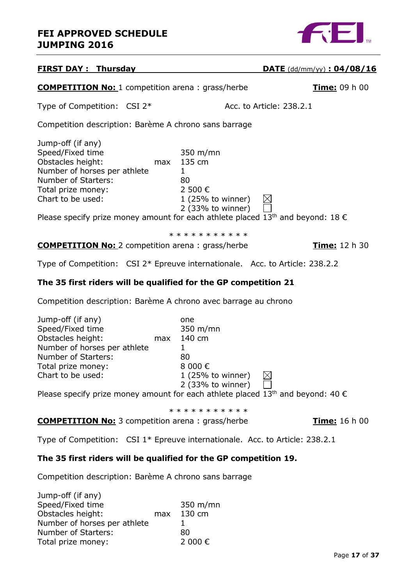

| <b>FIRST DAY: Thursday</b>                                                                                                                                                                                                                                                  |                                                                                                                              | $\overline{\text{DATE}}$ (dd/mm/yy) : 04/08/16 |
|-----------------------------------------------------------------------------------------------------------------------------------------------------------------------------------------------------------------------------------------------------------------------------|------------------------------------------------------------------------------------------------------------------------------|------------------------------------------------|
| <b>COMPETITION No: 1</b> competition arena : grass/herbe                                                                                                                                                                                                                    |                                                                                                                              | Time: 09 h 00                                  |
| Type of Competition: CSI 2*                                                                                                                                                                                                                                                 |                                                                                                                              | Acc. to Article: 238.2.1                       |
| Competition description: Barème A chrono sans barrage                                                                                                                                                                                                                       |                                                                                                                              |                                                |
| Jump-off (if any)<br>Speed/Fixed time<br>Obstacles height:<br>max<br>Number of horses per athlete<br>Number of Starters:<br>Total prize money:<br>Chart to be used:<br>Please specify prize money amount for each athlete placed 13 <sup>th</sup> and beyond: 18 $\epsilon$ | 350 m/mn<br>135 cm<br>$\mathbf{1}$<br>80<br>2 500€<br>1 (25% to winner)<br>2 (33% to winner)                                 | $\boxtimes$                                    |
|                                                                                                                                                                                                                                                                             | * * * * * * * * * * *                                                                                                        |                                                |
| <b>COMPETITION No:</b> 2 competition arena: grass/herbe                                                                                                                                                                                                                     |                                                                                                                              | <u>Time:</u> 12 h 30                           |
| Type of Competition: CSI 2* Epreuve internationale. Acc. to Article: 238.2.2                                                                                                                                                                                                |                                                                                                                              |                                                |
| The 35 first riders will be qualified for the GP competition 21                                                                                                                                                                                                             |                                                                                                                              |                                                |
| Competition description: Barème A chrono avec barrage au chrono                                                                                                                                                                                                             |                                                                                                                              |                                                |
| Jump-off (if any)<br>Speed/Fixed time<br>Obstacles height:<br>max<br>Number of horses per athlete<br>Number of Starters:<br>Total prize money:<br>Chart to be used:                                                                                                         | one<br>$350 \; \text{m/min}$<br>140 cm<br>$\mathbf{1}$<br>80<br>8 000€<br>$1(25\% \text{ to winner})$<br>$2$ (33% to winner) |                                                |
| Decay and $f_1$ , with proposed and contract $f_2$ is a solution of solutional $f_1$ of $h_2$ and $h_3$ is equal. A 0, 0                                                                                                                                                    |                                                                                                                              |                                                |

Please specify prize money amount for each athlete placed 13<sup>th</sup> and beyond: 40  $\epsilon$ 

\* \* \* \* \* \* \* \* \* \* \*

**COMPETITION No:** 3 competition arena : grass/herbe **Time:** 16 h 00

Type of Competition: CSI 1\* Epreuve internationale. Acc. to Article: 238.2.1

### **The 35 first riders will be qualified for the GP competition 19.**

Competition description: Barème A chrono sans barrage

| Jump-off (if any)            |     |          |
|------------------------------|-----|----------|
| Speed/Fixed time             |     | 350 m/mn |
| Obstacles height:            | max | 130 cm   |
| Number of horses per athlete |     |          |
| Number of Starters:          |     | 80       |
| Total prize money:           |     | 2 000 €  |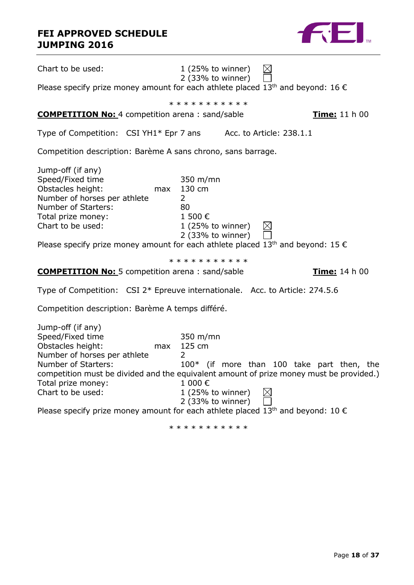### **FEI APPROVED SCHEDULE JUMPING 2016**

| Chart to be used:                                                                                                                                                                                                                                                                                                                                                      | $1(25\% \text{ to winner})$<br>$2$ (33% to winner)                                                             | $\boxtimes$                                |
|------------------------------------------------------------------------------------------------------------------------------------------------------------------------------------------------------------------------------------------------------------------------------------------------------------------------------------------------------------------------|----------------------------------------------------------------------------------------------------------------|--------------------------------------------|
| Please specify prize money amount for each athlete placed 13 <sup>th</sup> and beyond: 16 $\epsilon$                                                                                                                                                                                                                                                                   |                                                                                                                |                                            |
|                                                                                                                                                                                                                                                                                                                                                                        | * * * * * * * * * * *                                                                                          |                                            |
| <b>COMPETITION No:</b> 4 competition arena: sand/sable                                                                                                                                                                                                                                                                                                                 |                                                                                                                | Time: 11 h 00                              |
| Type of Competition: CSI YH1* Epr 7 ans Acc. to Article: 238.1.1                                                                                                                                                                                                                                                                                                       |                                                                                                                |                                            |
| Competition description: Barème A sans chrono, sans barrage.                                                                                                                                                                                                                                                                                                           |                                                                                                                |                                            |
| Jump-off (if any)<br>Speed/Fixed time<br>Obstacles height:<br>Number of horses per athlete<br>Number of Starters:<br>Total prize money:<br>Chart to be used:<br>Please specify prize money amount for each athlete placed 13 <sup>th</sup> and beyond: 15 $\epsilon$                                                                                                   | 350 m/mn<br>max 130 cm<br>$\overline{2}$<br>80<br>1 500€<br>$1(25\% \text{ to winner})$<br>$2$ (33% to winner) | $\mathbb{N}$                               |
|                                                                                                                                                                                                                                                                                                                                                                        | * * * * * * * * * * *                                                                                          |                                            |
| <b>COMPETITION No:</b> 5 competition arena: sand/sable                                                                                                                                                                                                                                                                                                                 |                                                                                                                | Time: 14 h 00                              |
| Type of Competition: CSI 2* Epreuve internationale. Acc. to Article: 274.5.6                                                                                                                                                                                                                                                                                           |                                                                                                                |                                            |
| Competition description: Barème A temps différé.                                                                                                                                                                                                                                                                                                                       |                                                                                                                |                                            |
| Jump-off (if any)<br>Speed/Fixed time<br>Obstacles height:<br>max<br>Number of horses per athlete<br>Number of Starters:<br>competition must be divided and the equivalent amount of prize money must be provided.)<br>Total prize money:<br>Chart to be used:<br>Please specify prize money amount for each athlete placed 13 <sup>th</sup> and beyond: 10 $\epsilon$ | 350 m/mn<br>125 cm<br>2<br>1 000€<br>1 (25% to winner)<br>2 (33% to winner)<br>* * * * * * * * * * *           | 100* (if more than 100 take part then, the |
|                                                                                                                                                                                                                                                                                                                                                                        |                                                                                                                |                                            |

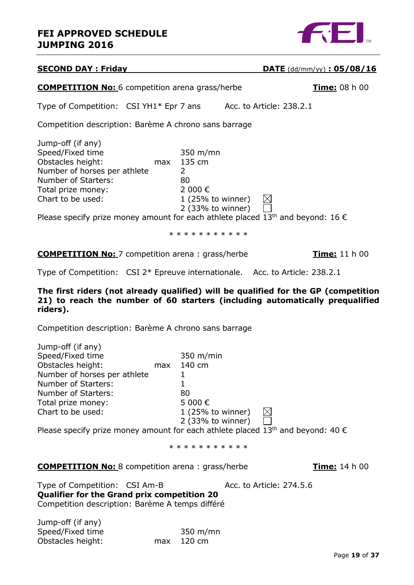### **FEI APPROVED SCHEDULE JUMPING 2016**



| <b>SECOND DAY: Friday</b>                                                                                                                                                                                                                                                                          |                                                                                                                | <b>DATE</b> (dd/mm/yy) : $05/08/16$ |
|----------------------------------------------------------------------------------------------------------------------------------------------------------------------------------------------------------------------------------------------------------------------------------------------------|----------------------------------------------------------------------------------------------------------------|-------------------------------------|
| <b>COMPETITION No:</b> 6 competition arena grass/herbe                                                                                                                                                                                                                                             |                                                                                                                | Time: 08 h 00                       |
| Type of Competition: CSI YH1* Epr 7 ans                                                                                                                                                                                                                                                            |                                                                                                                | Acc. to Article: 238.2.1            |
| Competition description: Barème A chrono sans barrage                                                                                                                                                                                                                                              |                                                                                                                |                                     |
| Jump-off (if any)<br>Speed/Fixed time<br>Obstacles height:<br>max<br>Number of horses per athlete<br>Number of Starters:<br>Total prize money:<br>Chart to be used:<br>Please specify prize money amount for each athlete placed 13 <sup>th</sup> and beyond: 16 $\epsilon$                        | 350 m/mn<br>135 cm<br>$\overline{2}$<br>80<br>2 000€<br>$1(25\% \text{ to winner})$<br>2 (33% to winner)       | $\boxtimes$                         |
|                                                                                                                                                                                                                                                                                                    | * * * * * * * * * * *                                                                                          |                                     |
| <b>COMPETITION No:</b> 7 competition arena: grass/herbe                                                                                                                                                                                                                                            |                                                                                                                | <b>Time:</b> 11 h 00                |
| Type of Competition: CSI 2* Epreuve internationale. Acc. to Article: 238.2.1                                                                                                                                                                                                                       |                                                                                                                |                                     |
| The first riders (not already qualified) will be qualified for the GP (competition<br>21) to reach the number of 60 starters (including automatically prequalified<br>riders).                                                                                                                     |                                                                                                                |                                     |
| Competition description: Barème A chrono sans barrage                                                                                                                                                                                                                                              |                                                                                                                |                                     |
| Jump-off (if any)<br>Speed/Fixed time<br>Obstacles height:<br>max<br>Number of horses per athlete<br>Number of Starters:<br>Number of Starters:<br>Total prize money:<br>Chart to be used:<br>Please specify prize money amount for each athlete placed 13 <sup>th</sup> and beyond: 40 $\epsilon$ | $350 \; \text{m/min}$<br>140 cm<br>1<br>$\mathbf{1}$<br>80<br>5 000€<br>1 (25% to winner)<br>2 (33% to winner) | $\boxtimes$                         |
|                                                                                                                                                                                                                                                                                                    | * * * * * * * * * * *                                                                                          |                                     |
| <b>COMPETITION No:</b> 8 competition arena: grass/herbe                                                                                                                                                                                                                                            |                                                                                                                | Time: 14 h 00                       |
| Type of Competition: CSI Am-B<br><b>Qualifier for the Grand prix competition 20</b><br>Competition description: Barème A temps différé                                                                                                                                                             |                                                                                                                | Acc. to Article: 274.5.6            |
| Jump-off (if any)<br>Speed/Fixed time<br>Obstacles height:<br>max                                                                                                                                                                                                                                  | $350 \; \text{m/min}$<br>120 cm                                                                                |                                     |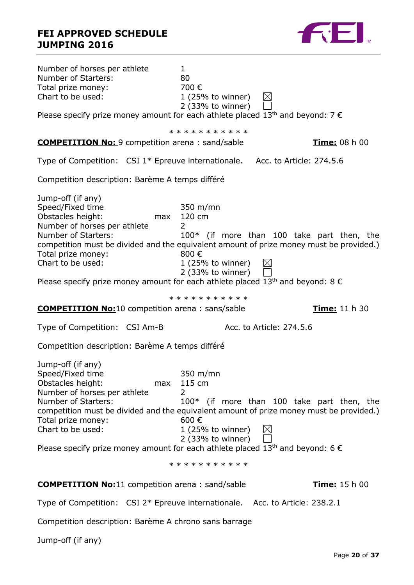

| Number of horses per athlete<br>Number of Starters:<br>Total prize money:<br>Chart to be used:                                                                                                                                                                                                                                                                        | $\mathbf{1}$<br>80<br>700€<br>$\boxtimes$<br>$1(25%$ to winner)<br>$2$ (33% to winner)                                         |                                            |
|-----------------------------------------------------------------------------------------------------------------------------------------------------------------------------------------------------------------------------------------------------------------------------------------------------------------------------------------------------------------------|--------------------------------------------------------------------------------------------------------------------------------|--------------------------------------------|
| Please specify prize money amount for each athlete placed 13 <sup>th</sup> and beyond: $7 \in$                                                                                                                                                                                                                                                                        |                                                                                                                                |                                            |
|                                                                                                                                                                                                                                                                                                                                                                       | * * * * * * * * * * *                                                                                                          |                                            |
| <b>COMPETITION No: 9</b> competition arena: sand/sable                                                                                                                                                                                                                                                                                                                |                                                                                                                                | Time: 08 h 00                              |
| Type of Competition: CSI 1* Epreuve internationale. Acc. to Article: 274.5.6                                                                                                                                                                                                                                                                                          |                                                                                                                                |                                            |
| Competition description: Barème A temps différé                                                                                                                                                                                                                                                                                                                       |                                                                                                                                |                                            |
| Jump-off (if any)<br>Speed/Fixed time<br>Obstacles height:<br>max<br>Number of horses per athlete<br>Number of Starters:<br>competition must be divided and the equivalent amount of prize money must be provided.)<br>Total prize money:<br>Chart to be used:<br>Please specify prize money amount for each athlete placed 13 <sup>th</sup> and beyond: 8 $\epsilon$ | $350 \; \text{m/min}$<br>120 cm<br>$\overline{2}$<br>800€<br>$1(25\% \text{ to winner})$<br>$\boxtimes$<br>$2$ (33% to winner) | 100* (if more than 100 take part then, the |
|                                                                                                                                                                                                                                                                                                                                                                       | * * * * * * * * * * *                                                                                                          |                                            |
| <b>COMPETITION No:10</b> competition arena: sans/sable                                                                                                                                                                                                                                                                                                                |                                                                                                                                | Time: 11 h 30                              |
| Type of Competition: CSI Am-B                                                                                                                                                                                                                                                                                                                                         | Acc. to Article: 274.5.6                                                                                                       |                                            |
| Competition description: Barème A temps différé                                                                                                                                                                                                                                                                                                                       |                                                                                                                                |                                            |
| Jump-off (if any)<br>Speed/Fixed time<br>Obstacles height:<br>max<br>Number of horses per athlete<br>Number of Starters:<br>competition must be divided and the equivalent amount of prize money must be provided.)<br>Total prize money:<br>Chart to be used:<br>Please specify prize money amount for each athlete placed 13 <sup>th</sup> and beyond: 6 $\epsilon$ | 350 m/mn<br>115 cm<br>2<br>600€<br>$1$ (25% to winner)<br>$\boxtimes$<br>$2$ (33% to winner)                                   | 100* (if more than 100 take part then, the |
|                                                                                                                                                                                                                                                                                                                                                                       | * * * * * * * * * * *                                                                                                          |                                            |
| <b>COMPETITION No:</b> 11 competition arena: sand/sable                                                                                                                                                                                                                                                                                                               |                                                                                                                                | Time: 15 h 00                              |
| Type of Competition: CSI 2* Epreuve internationale. Acc. to Article: 238.2.1                                                                                                                                                                                                                                                                                          |                                                                                                                                |                                            |
| Competition description: Barème A chrono sans barrage                                                                                                                                                                                                                                                                                                                 |                                                                                                                                |                                            |

Jump-off (if any)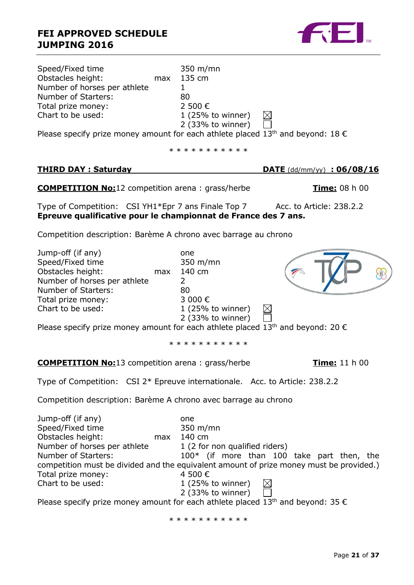### **FEI APPROVED SCHEDULE JUMPING 2016**

Speed/Fixed time 350 m/mn Obstacles height: max 135 cm Number of horses per athlete 1 Number of Starters: 80 Total prize money: 2 500 € Chart to be used: 1 (25% to winner)  $\boxtimes$ 2 (33% to winner) Please specify prize money amount for each athlete placed 13<sup>th</sup> and beyond: 18  $\epsilon$ \* \* \* \* \* \* \* \* \* \* **THIRD DAY : Saturday DATE** (dd/mm/yy) **: 06/08/16 COMPETITION No:**12 competition arena : grass/herbe **Time:** 08 h 00 Type of Competition: CSI YH1\*Epr 7 ans Finale Top 7 Acc. to Article: 238.2.2 **Epreuve qualificative pour le championnat de France des 7 ans.** Competition description: Barème A chrono avec barrage au chrono Jump-off (if any) one Speed/Fixed time 350 m/mn Obstacles height: max 140 cm Number of horses per athlete 2 Number of Starters: 80 Total prize money: 3 000 € Chart to be used: 1 (25% to winner) 2 (33% to winner) Please specify prize money amount for each athlete placed 13<sup>th</sup> and beyond: 20  $\epsilon$ \* \* \* \* \* \* \* \* \* \* **COMPETITION No:**13 competition arena : grass/herbe **Time:** 11 h 00 Type of Competition: CSI 2\* Epreuve internationale. Acc. to Article: 238.2.2 Competition description: Barème A chrono avec barrage au chrono Jump-off (if any) one Speed/Fixed time 350 m/mn Obstacles height: max 140 cm

Number of horses per athlete  $1/2$  for non qualified riders) Number of Starters: 100\* (if more than 100 take part then, the competition must be divided and the equivalent amount of prize money must be provided.) Total prize money:  $4\,500\,\epsilon$ Chart to be used:

|  | $\perp$ (25% to winner) |  |
|--|-------------------------|--|
|  | $2$ (33% to winner)     |  |

Please specify prize money amount for each athlete placed  $13^{th}$  and beyond: 35  $\epsilon$ 

\* \* \* \* \* \* \* \* \* \*

8

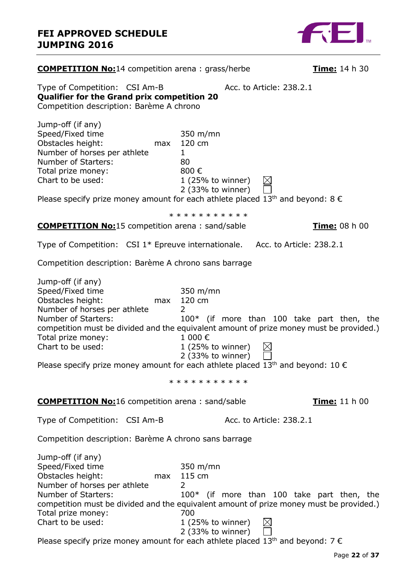

| <b>COMPETITION No:14</b> competition arena: grass/herbe                                                                                                                                                                                                                                                                                                                |                                                                                                                                                      | Time: 14 h 30 |
|------------------------------------------------------------------------------------------------------------------------------------------------------------------------------------------------------------------------------------------------------------------------------------------------------------------------------------------------------------------------|------------------------------------------------------------------------------------------------------------------------------------------------------|---------------|
| Type of Competition: CSI Am-B<br>Qualifier for the Grand prix competition 20<br>Competition description: Barème A chrono                                                                                                                                                                                                                                               | Acc. to Article: 238.2.1                                                                                                                             |               |
| Jump-off (if any)<br>Speed/Fixed time<br>Obstacles height:<br>max<br>Number of horses per athlete<br>Number of Starters:<br>Total prize money:<br>Chart to be used:<br>Please specify prize money amount for each athlete placed 13 <sup>th</sup> and beyond: 8 $\epsilon$                                                                                             | $350 \; \text{m/min}$<br>120 cm<br>1<br>80<br>800€<br>$1(25\% \text{ to winner})$<br>$\trianglerighteq$<br>$2$ (33% to winner)                       |               |
| <b>COMPETITION No:15</b> competition arena: sand/sable                                                                                                                                                                                                                                                                                                                 | * * * * * * * * * * *                                                                                                                                | Time: 08 h 00 |
| Type of Competition: $CSI_1*$ Epreuve internationale. Acc. to Article: 238.2.1                                                                                                                                                                                                                                                                                         |                                                                                                                                                      |               |
| Competition description: Barème A chrono sans barrage                                                                                                                                                                                                                                                                                                                  |                                                                                                                                                      |               |
| Jump-off (if any)<br>Speed/Fixed time<br>Obstacles height:<br>max<br>Number of horses per athlete<br>Number of Starters:<br>competition must be divided and the equivalent amount of prize money must be provided.)<br>Total prize money:<br>Chart to be used:<br>Please specify prize money amount for each athlete placed 13 <sup>th</sup> and beyond: 10 $\epsilon$ | 350 m/mn<br>120 cm<br>2<br>100* (if more than 100 take part then, the<br>1 000€<br>$1(25\% \text{ to winner})$<br>$\boxtimes$<br>$2$ (33% to winner) |               |
|                                                                                                                                                                                                                                                                                                                                                                        | * * * * * * * * * * *                                                                                                                                |               |
| <b>COMPETITION No:</b> 16 competition arena: sand/sable                                                                                                                                                                                                                                                                                                                |                                                                                                                                                      | Time: 11 h 00 |
| Type of Competition: CSI Am-B                                                                                                                                                                                                                                                                                                                                          | Acc. to Article: 238.2.1                                                                                                                             |               |
| Competition description: Barème A chrono sans barrage                                                                                                                                                                                                                                                                                                                  |                                                                                                                                                      |               |
| Jump-off (if any)<br>Speed/Fixed time<br>Obstacles height:<br>Number of horses per athlete<br>Number of Starters:<br>competition must be divided and the equivalent amount of prize money must be provided.)<br>Total prize money:<br>Chart to be used:<br>Please specify prize money amount for each athlete placed 13 <sup>th</sup> and beyond: $7 \in$              | 350 m/mn<br>$max$ 115 cm<br>2<br>100* (if more than 100 take part then, the<br>700<br>$1(25%$ to winner)<br>2 (33% to winner)                        |               |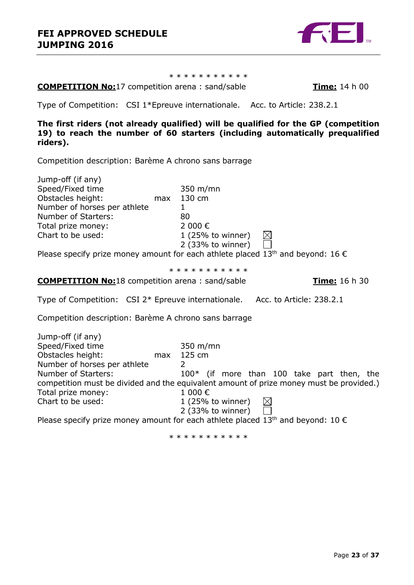

\* \* \* \* \* \* \* \* \* \*

**COMPETITION No:**17 competition arena : sand/sable **Time:** 14 h 00

Type of Competition: CSI 1\*Epreuve internationale. Acc. to Article: 238.2.1

**The first riders (not already qualified) will be qualified for the GP (competition 19) to reach the number of 60 starters (including automatically prequalified riders).**

Competition description: Barème A chrono sans barrage

| Jump-off (if any)                                                                                    |     |                       |  |
|------------------------------------------------------------------------------------------------------|-----|-----------------------|--|
| Speed/Fixed time                                                                                     |     | $350 \; \text{m/min}$ |  |
| Obstacles height:                                                                                    | max | 130 cm                |  |
| Number of horses per athlete                                                                         |     |                       |  |
| Number of Starters:                                                                                  |     | 80                    |  |
| Total prize money:                                                                                   |     | 2 000€                |  |
| Chart to be used:                                                                                    |     | $1(25%$ to winner)    |  |
|                                                                                                      |     | 2 (33% to winner)     |  |
| Please specify prize money amount for each athlete placed 13 <sup>th</sup> and beyond: 16 $\epsilon$ |     |                       |  |

\* \* \* \* \* \* \* \* \* \*

**COMPETITION No:**18 competition arena : sand/sable **Time:** 16 h 30

Type of Competition: CSI 2\* Epreuve internationale. Acc. to Article: 238.2.1

Competition description: Barème A chrono sans barrage

| Jump-off (if any)            |     |                                                                                         |
|------------------------------|-----|-----------------------------------------------------------------------------------------|
| Speed/Fixed time             |     | $350 \; \text{m/min}$                                                                   |
| Obstacles height:            | max | 125 cm                                                                                  |
| Number of horses per athlete |     |                                                                                         |
| Number of Starters:          |     | $100*$ (if more than 100 take part then, the                                            |
|                              |     | competition must be divided and the equivalent amount of prize money must be provided.) |
| Total prize money:           |     | 1000€                                                                                   |
| Chart to be used:            |     | $1(25%$ to winner)<br>$\boxtimes$                                                       |
|                              |     | $2$ (33% to winner)                                                                     |

Please specify prize money amount for each athlete placed 13<sup>th</sup> and beyond: 10  $\epsilon$ 

\* \* \* \* \* \* \* \* \* \* \*

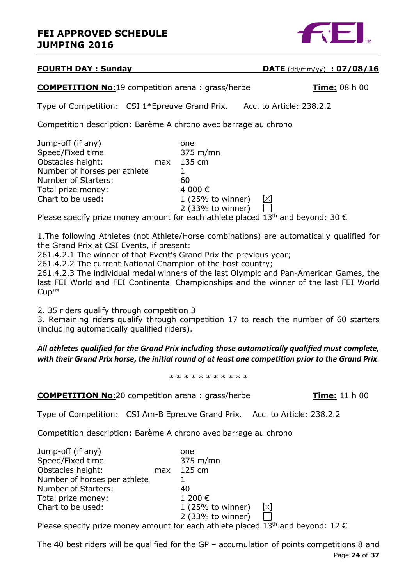

### **FOURTH DAY : Sunday DATE** (dd/mm/yy) **: 07/08/16**

**COMPETITION No:**19 competition arena : grass/herbe **Time:** 08 h 00

Type of Competition: CSI 1\*Epreuve Grand Prix. Acc. to Article: 238.2.2

Competition description: Barème A chrono avec barrage au chrono

| Jump-off (if any)            |     | one                 |  |  |
|------------------------------|-----|---------------------|--|--|
| Speed/Fixed time             |     | $375 \text{ m/min}$ |  |  |
| Obstacles height:            | max | 135 cm              |  |  |
| Number of horses per athlete |     |                     |  |  |
| Number of Starters:          |     | 60                  |  |  |
| Total prize money:           |     | 4 000€              |  |  |
| Chart to be used:            |     | $1(25%$ to winner)  |  |  |
|                              |     | 2 (33% to winner)   |  |  |
|                              |     |                     |  |  |

Please specify prize money amount for each athlete placed 13<sup>th</sup> and beyond: 30  $\epsilon$ 

1.The following Athletes (not Athlete/Horse combinations) are automatically qualified for the Grand Prix at CSI Events, if present:

261.4.2.1 The winner of that Event's Grand Prix the previous year;

261.4.2.2 The current National Champion of the host country;

261.4.2.3 The individual medal winners of the last Olympic and Pan-American Games, the last FEI World and FEI Continental Championships and the winner of the last FEI World Cup™

2. 35 riders qualify through competition 3

3. Remaining riders qualify through competition 17 to reach the number of 60 starters (including automatically qualified riders).

*All athletes qualified for the Grand Prix including those automatically qualified must complete, with their Grand Prix horse, the initial round of at least one competition prior to the Grand Prix.*

\* \* \* \* \* \* \* \* \* \* \*

**COMPETITION No:**20 competition arena : grass/herbe **Time:** 11 h 00

Type of Competition: CSI Am-B Epreuve Grand Prix. Acc. to Article: 238.2.2

Competition description: Barème A chrono avec barrage au chrono

| Jump-off (if any)            |     | one                 |   |  |
|------------------------------|-----|---------------------|---|--|
| Speed/Fixed time             |     | $375 \text{ m/min}$ |   |  |
| Obstacles height:            | max | 125 cm              |   |  |
| Number of horses per athlete |     |                     |   |  |
| Number of Starters:          |     | 40                  |   |  |
| Total prize money:           |     | 1 200 €             |   |  |
| Chart to be used:            |     | $1(25%$ to winner)  | ⋉ |  |
|                              |     | 2 (33% to winner)   |   |  |
|                              |     |                     |   |  |

Please specify prize money amount for each athlete placed  $13<sup>th</sup>$  and beyond: 12  $\epsilon$ 

Page **24** of **37** The 40 best riders will be qualified for the GP – accumulation of points competitions 8 and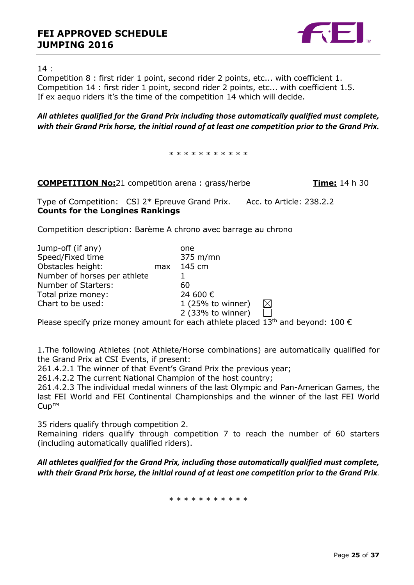

14 :

Competition 8 : first rider 1 point, second rider 2 points, etc... with coefficient 1. Competition 14 : first rider 1 point, second rider 2 points, etc... with coefficient 1.5. If ex aequo riders it's the time of the competition 14 which will decide.

### *All athletes qualified for the Grand Prix including those automatically qualified must complete, with their Grand Prix horse, the initial round of at least one competition prior to the Grand Prix.*

\* \* \* \* \* \* \* \* \* \* \*

| <b>COMPETITION No:</b> 21 competition arena: grass/herbe |  |  | <b>Time:</b> 14 h 30 |
|----------------------------------------------------------|--|--|----------------------|
|----------------------------------------------------------|--|--|----------------------|

Type of Competition: CSI 2\* Epreuve Grand Prix. Acc. to Article: 238.2.2 **Counts for the Longines Rankings**

Competition description: Barème A chrono avec barrage au chrono

| Jump-off (if any)            |     | one                 |             |
|------------------------------|-----|---------------------|-------------|
| Speed/Fixed time             |     | $375 \text{ m/min}$ |             |
| Obstacles height:            | max | 145 cm              |             |
| Number of horses per athlete |     |                     |             |
| Number of Starters:          |     | 60                  |             |
| Total prize money:           |     | 24 600 €            |             |
| Chart to be used:            |     | 1 (25% to winner)   | $\boxtimes$ |
|                              |     | 2 (33% to winner)   |             |

Please specify prize money amount for each athlete placed  $13<sup>th</sup>$  and beyond: 100  $\epsilon$ 

1.The following Athletes (not Athlete/Horse combinations) are automatically qualified for the Grand Prix at CSI Events, if present:

261.4.2.1 The winner of that Event's Grand Prix the previous year;

261.4.2.2 The current National Champion of the host country;

261.4.2.3 The individual medal winners of the last Olympic and Pan-American Games, the last FEI World and FEI Continental Championships and the winner of the last FEI World Cup™

35 riders qualify through competition 2.

Remaining riders qualify through competition 7 to reach the number of 60 starters (including automatically qualified riders).

*All athletes qualified for the Grand Prix, including those automatically qualified must complete, with their Grand Prix horse, the initial round of at least one competition prior to the Grand Prix.*

\* \* \* \* \* \* \* \* \* \*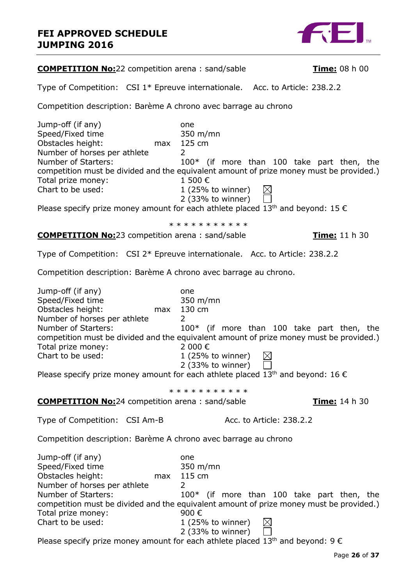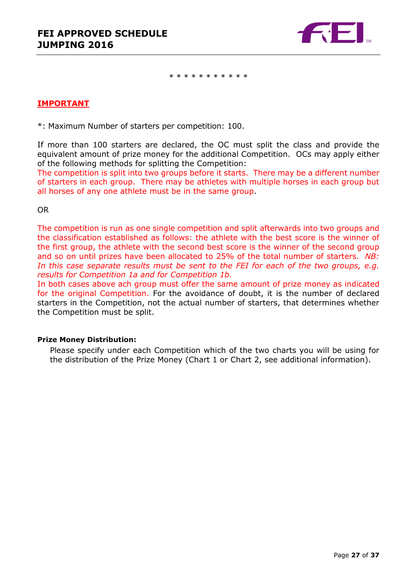

\* \* \* \* \* \* \* \* \* \* \*

### **IMPORTANT**

\*: Maximum Number of starters per competition: 100.

If more than 100 starters are declared, the OC must split the class and provide the equivalent amount of prize money for the additional Competition. OCs may apply either of the following methods for splitting the Competition:

The competition is split into two groups before it starts. There may be a different number of starters in each group. There may be athletes with multiple horses in each group but all horses of any one athlete must be in the same group.

OR

The competition is run as one single competition and split afterwards into two groups and the classification established as follows: the athlete with the best score is the winner of the first group, the athlete with the second best score is the winner of the second group and so on until prizes have been allocated to 25% of the total number of starters. *NB:*  In this case separate results must be sent to the FEI for each of the two groups, e.g. *results for Competition 1a and for Competition 1b.*

In both cases above ach group must offer the same amount of prize money as indicated for the original Competition. For the avoidance of doubt, it is the number of declared starters in the Competition, not the actual number of starters, that determines whether the Competition must be split.

### **Prize Money Distribution:**

Please specify under each Competition which of the two charts you will be using for the distribution of the Prize Money (Chart 1 or Chart 2, see additional information).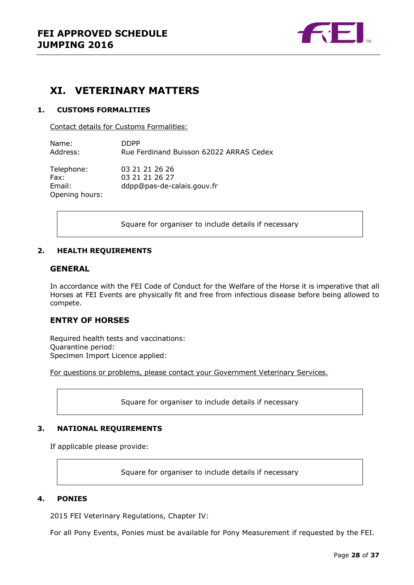

### <span id="page-27-0"></span>**XI. VETERINARY MATTERS**

### <span id="page-27-1"></span>**1. CUSTOMS FORMALITIES**

Contact details for Customs Formalities:

Name: DDPP Address: Rue Ferdinand Buisson 62022 ARRAS Cedex

Telephone: 03 21 21 26 26 Fax: 03 21 21 26 27 Email: ddpp@pas-de-calais.gouv.fr Opening hours:

Square for organiser to include details if necessary

### <span id="page-27-2"></span>**2. HEALTH REQUIREMENTS**

#### **GENERAL**

In accordance with the FEI Code of Conduct for the Welfare of the Horse it is imperative that all Horses at FEI Events are physically fit and free from infectious disease before being allowed to compete.

### **ENTRY OF HORSES**

Required health tests and vaccinations: Quarantine period: Specimen Import Licence applied:

For questions or problems, please contact your Government Veterinary Services.

Square for organiser to include details if necessary

#### <span id="page-27-3"></span>**3. NATIONAL REQUIREMENTS**

If applicable please provide:

Square for organiser to include details if necessary

#### <span id="page-27-4"></span>**4. PONIES**

2015 FEI Veterinary Regulations, Chapter IV:

For all Pony Events, Ponies must be available for Pony Measurement if requested by the FEI.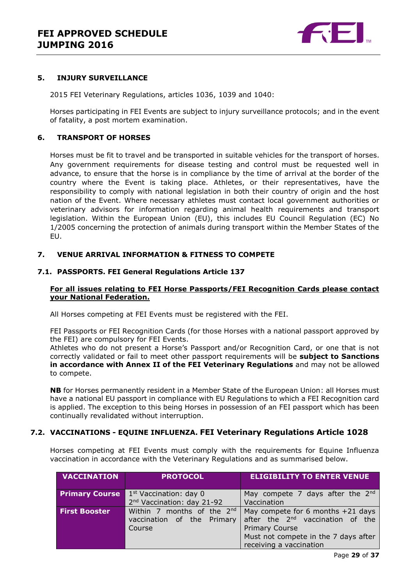

#### <span id="page-28-0"></span>**5. INJURY SURVEILLANCE**

2015 FEI Veterinary Regulations, articles 1036, 1039 and 1040:

Horses participating in FEI Events are subject to injury surveillance protocols; and in the event of fatality, a post mortem examination.

#### <span id="page-28-1"></span>**6. TRANSPORT OF HORSES**

Horses must be fit to travel and be transported in suitable vehicles for the transport of horses. Any government requirements for disease testing and control must be requested well in advance, to ensure that the horse is in compliance by the time of arrival at the border of the country where the Event is taking place. Athletes, or their representatives, have the responsibility to comply with national legislation in both their country of origin and the host nation of the Event. Where necessary athletes must contact local government authorities or veterinary advisors for information regarding animal health requirements and transport legislation. Within the European Union (EU), this includes EU Council Regulation (EC) No 1/2005 concerning the protection of animals during transport within the Member States of the EU.

### <span id="page-28-2"></span>**7. VENUE ARRIVAL INFORMATION & FITNESS TO COMPETE**

#### **7.1. PASSPORTS. FEI General Regulations Article 137**

### **For all issues relating to FEI Horse Passports/FEI Recognition Cards please contact your National Federation.**

All Horses competing at FEI Events must be registered with the FEI.

FEI Passports or FEI Recognition Cards (for those Horses with a national passport approved by the FEI) are compulsory for FEI Events.

Athletes who do not present a Horse's Passport and/or Recognition Card, or one that is not correctly validated or fail to meet other passport requirements will be **subject to Sanctions in accordance with Annex II of the FEI Veterinary Regulations** and may not be allowed to compete.

**NB** for Horses permanently resident in a Member State of the European Union: all Horses must have a national EU passport in compliance with EU Regulations to which a FEI Recognition card is applied. The exception to this being Horses in possession of an FEI passport which has been continually revalidated without interruption.

### **7.2. VACCINATIONS - EQUINE INFLUENZA. FEI Veterinary Regulations Article 1028**

Horses competing at FEI Events must comply with the requirements for Equine Influenza vaccination in accordance with the Veterinary Regulations and as summarised below.

| <b>VACCINATION</b>    | <b>PROTOCOL</b>                        | <b>ELIGIBILITY TO ENTER VENUE</b>            |
|-----------------------|----------------------------------------|----------------------------------------------|
| <b>Primary Course</b> | 1 <sup>st</sup> Vaccination: day 0     | May compete 7 days after the $2^{nd}$        |
|                       | 2 <sup>nd</sup> Vaccination: day 21-92 | Vaccination                                  |
| <b>First Booster</b>  | Within 7 months of the 2nd             | May compete for 6 months $+21$ days          |
|                       | vaccination of the Primary             | after the 2 <sup>nd</sup> vaccination of the |
|                       | Course                                 | <b>Primary Course</b>                        |
|                       |                                        | Must not compete in the 7 days after         |
|                       |                                        | receiving a vaccination                      |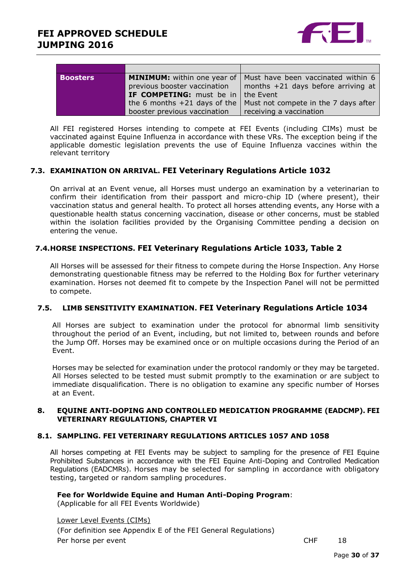

| <b>Boosters</b> |                                               | <b>MINIMUM:</b> within one year of   Must have been vaccinated within 6 |
|-----------------|-----------------------------------------------|-------------------------------------------------------------------------|
|                 | previous booster vaccination                  | months $+21$ days before arriving at                                    |
|                 | <b>IF COMPETING:</b> must be in $ $ the Event |                                                                         |
|                 | the 6 months $+21$ days of the                | Must not compete in the 7 days after                                    |
|                 | booster previous vaccination                  | receiving a vaccination                                                 |

All FEI registered Horses intending to compete at FEI Events (including CIMs) must be vaccinated against Equine Influenza in accordance with these VRs. The exception being if the applicable domestic legislation prevents the use of Equine Influenza vaccines within the relevant territory

### **7.3. EXAMINATION ON ARRIVAL. FEI Veterinary Regulations Article 1032**

On arrival at an Event venue, all Horses must undergo an examination by a veterinarian to confirm their identification from their passport and micro-chip ID (where present), their vaccination status and general health. To protect all horses attending events, any Horse with a questionable health status concerning vaccination, disease or other concerns, must be stabled within the isolation facilities provided by the Organising Committee pending a decision on entering the venue.

### **7.4.HORSE INSPECTIONS. FEI Veterinary Regulations Article 1033, Table 2**

All Horses will be assessed for their fitness to compete during the Horse Inspection. Any Horse demonstrating questionable fitness may be referred to the Holding Box for further veterinary examination. Horses not deemed fit to compete by the Inspection Panel will not be permitted to compete.

### **7.5. LIMB SENSITIVITY EXAMINATION. FEI Veterinary Regulations Article 1034**

All Horses are subject to examination under the protocol for abnormal limb sensitivity throughout the period of an Event, including, but not limited to, between rounds and before the Jump Off. Horses may be examined once or on multiple occasions during the Period of an Event.

Horses may be selected for examination under the protocol randomly or they may be targeted. All Horses selected to be tested must submit promptly to the examination or are subject to immediate disqualification. There is no obligation to examine any specific number of Horses at an Event.

### <span id="page-29-0"></span>**8. EQUINE ANTI-DOPING AND CONTROLLED MEDICATION PROGRAMME (EADCMP). FEI VETERINARY REGULATIONS, CHAPTER VI**

### **8.1. SAMPLING. FEI VETERINARY REGULATIONS ARTICLES 1057 AND 1058**

All horses competing at FEI Events may be subject to sampling for the presence of FEI Equine Prohibited Substances in accordance with the FEI Equine Anti-Doping and Controlled Medication Regulations (EADCMRs). Horses may be selected for sampling in accordance with obligatory testing, targeted or random sampling procedures.

### **Fee for Worldwide Equine and Human Anti-Doping Program**:

(Applicable for all FEI Events Worldwide)

Lower Level Events (CIMs) (For definition see Appendix E of the FEI General Regulations) Per horse per event and the contract of the contract of the contract of the contract of the contract of the contract of the contract of the contract of the contract of the contract of the contract of the contract of the co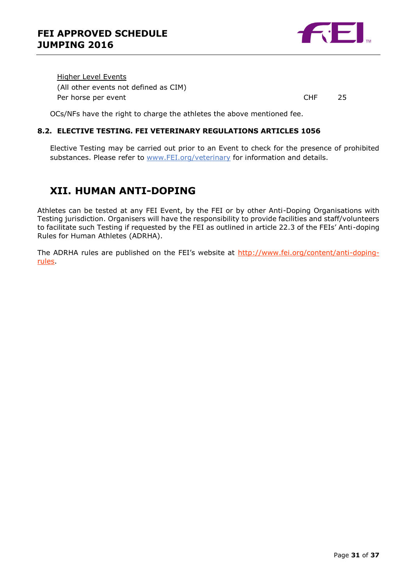

Higher Level Events (All other events not defined as CIM) Per horse per event **CHF** 25

OCs/NFs have the right to charge the athletes the above mentioned fee.

### **8.2. ELECTIVE TESTING. FEI VETERINARY REGULATIONS ARTICLES 1056**

Elective Testing may be carried out prior to an Event to check for the presence of prohibited substances. Please refer to [www.FEI.org/veterinary](http://www.fei.org/veterinary) for information and details.

### <span id="page-30-0"></span>**XII. HUMAN ANTI-DOPING**

Athletes can be tested at any FEI Event, by the FEI or by other Anti-Doping Organisations with Testing jurisdiction. Organisers will have the responsibility to provide facilities and staff/volunteers to facilitate such Testing if requested by the FEI as outlined in article 22.3 of the FEIs' Anti-doping Rules for Human Athletes (ADRHA).

The ADRHA rules are published on the FEI's website at [http://www.fei.org/content/anti-doping](http://www.fei.org/content/anti-doping-rules)[rules.](http://www.fei.org/content/anti-doping-rules)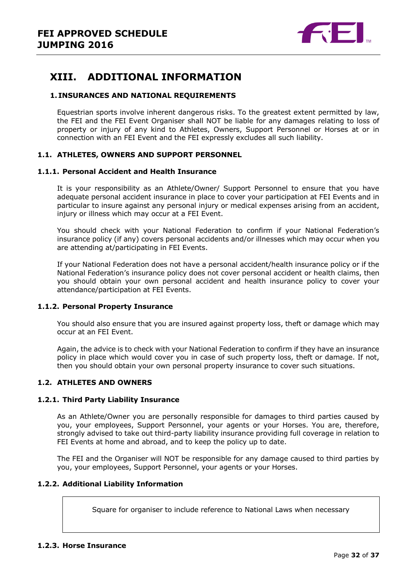

### <span id="page-31-0"></span>**XIII. ADDITIONAL INFORMATION**

### <span id="page-31-1"></span>**1. INSURANCES AND NATIONAL REQUIREMENTS**

Equestrian sports involve inherent dangerous risks. To the greatest extent permitted by law, the FEI and the FEI Event Organiser shall NOT be liable for any damages relating to loss of property or injury of any kind to Athletes, Owners, Support Personnel or Horses at or in connection with an FEI Event and the FEI expressly excludes all such liability.

### **1.1. ATHLETES, OWNERS AND SUPPORT PERSONNEL**

#### **1.1.1. Personal Accident and Health Insurance**

It is your responsibility as an Athlete/Owner/ Support Personnel to ensure that you have adequate personal accident insurance in place to cover your participation at FEI Events and in particular to insure against any personal injury or medical expenses arising from an accident, injury or illness which may occur at a FEI Event.

You should check with your National Federation to confirm if your National Federation's insurance policy (if any) covers personal accidents and/or illnesses which may occur when you are attending at/participating in FEI Events.

If your National Federation does not have a personal accident/health insurance policy or if the National Federation's insurance policy does not cover personal accident or health claims, then you should obtain your own personal accident and health insurance policy to cover your attendance/participation at FEI Events.

### **1.1.2. Personal Property Insurance**

You should also ensure that you are insured against property loss, theft or damage which may occur at an FEI Event.

Again, the advice is to check with your National Federation to confirm if they have an insurance policy in place which would cover you in case of such property loss, theft or damage. If not, then you should obtain your own personal property insurance to cover such situations.

### **1.2. ATHLETES AND OWNERS**

### **1.2.1. Third Party Liability Insurance**

As an Athlete/Owner you are personally responsible for damages to third parties caused by you, your employees, Support Personnel, your agents or your Horses. You are, therefore, strongly advised to take out third-party liability insurance providing full coverage in relation to FEI Events at home and abroad, and to keep the policy up to date.

The FEI and the Organiser will NOT be responsible for any damage caused to third parties by you, your employees, Support Personnel, your agents or your Horses.

### **1.2.2. Additional Liability Information**

Square for organiser to include reference to National Laws when necessary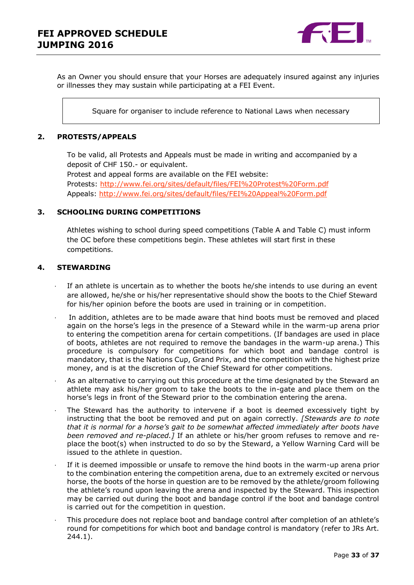

As an Owner you should ensure that your Horses are adequately insured against any injuries or illnesses they may sustain while participating at a FEI Event.

Square for organiser to include reference to National Laws when necessary

### <span id="page-32-0"></span>**2. PROTESTS/APPEALS**

To be valid, all Protests and Appeals must be made in writing and accompanied by a deposit of CHF 150.- or equivalent.

Protest and appeal forms are available on the FEI website: Protests:<http://www.fei.org/sites/default/files/FEI%20Protest%20Form.pdf> Appeals:<http://www.fei.org/sites/default/files/FEI%20Appeal%20Form.pdf>

### <span id="page-32-1"></span>**3. SCHOOLING DURING COMPETITIONS**

Athletes wishing to school during speed competitions (Table A and Table C) must inform the OC before these competitions begin. These athletes will start first in these competitions.

### <span id="page-32-2"></span>**4. STEWARDING**

- If an athlete is uncertain as to whether the boots he/she intends to use during an event are allowed, he/she or his/her representative should show the boots to the Chief Steward for his/her opinion before the boots are used in training or in competition.
- In addition, athletes are to be made aware that hind boots must be removed and placed again on the horse's legs in the presence of a Steward while in the warm-up arena prior to entering the competition arena for certain competitions. (If bandages are used in place of boots, athletes are not required to remove the bandages in the warm-up arena.) This procedure is compulsory for competitions for which boot and bandage control is mandatory, that is the Nations Cup, Grand Prix, and the competition with the highest prize money, and is at the discretion of the Chief Steward for other competitions.
- As an alternative to carrying out this procedure at the time designated by the Steward an athlete may ask his/her groom to take the boots to the in-gate and place them on the horse's legs in front of the Steward prior to the combination entering the arena.
- The Steward has the authority to intervene if a boot is deemed excessively tight by instructing that the boot be removed and put on again correctly. *[Stewards are to note that it is normal for a horse's gait to be somewhat affected immediately after boots have been removed and re-placed.]* If an athlete or his/her groom refuses to remove and replace the boot(s) when instructed to do so by the Steward, a Yellow Warning Card will be issued to the athlete in question.
- If it is deemed impossible or unsafe to remove the hind boots in the warm-up arena prior to the combination entering the competition arena, due to an extremely excited or nervous horse, the boots of the horse in question are to be removed by the athlete/groom following the athlete's round upon leaving the arena and inspected by the Steward. This inspection may be carried out during the boot and bandage control if the boot and bandage control is carried out for the competition in question.
- · This procedure does not replace boot and bandage control after completion of an athlete's round for competitions for which boot and bandage control is mandatory (refer to JRs Art. 244.1).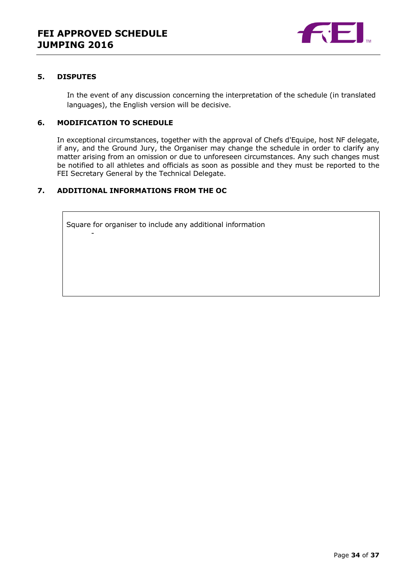

### <span id="page-33-0"></span>**5. DISPUTES**

In the event of any discussion concerning the interpretation of the schedule (in translated languages), the English version will be decisive.

### <span id="page-33-1"></span>**6. MODIFICATION TO SCHEDULE**

-

In exceptional circumstances, together with the approval of Chefs d'Equipe, host NF delegate, if any, and the Ground Jury, the Organiser may change the schedule in order to clarify any matter arising from an omission or due to unforeseen circumstances. Any such changes must be notified to all athletes and officials as soon as possible and they must be reported to the FEI Secretary General by the Technical Delegate.

### <span id="page-33-2"></span>**7. ADDITIONAL INFORMATIONS FROM THE OC**

Square for organiser to include any additional information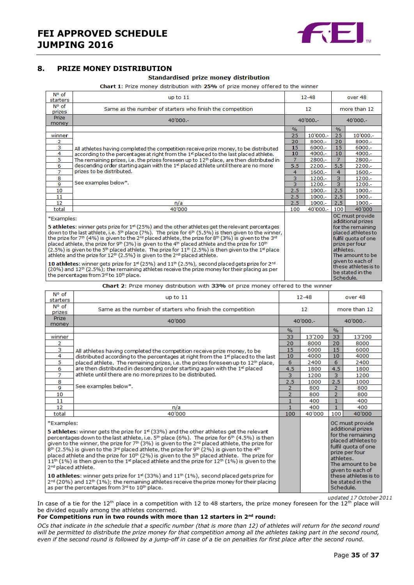

### <span id="page-34-0"></span>**8. PRIZE MONEY DISTRIBUTION**

#### Standardised prize money distribution

Chart 1: Prize money distribution with 25% of prize money offered to the winner

| $N^{\circ}$ of<br>Same as the number of starters who finish the competition<br>prizes<br><b>Prize</b><br>$40'000 -$<br>money<br>$\frac{9}{6}$<br>25<br>winner<br>2<br>20<br>з<br>15<br>All athletes having completed the competition receive prize money, to be distributed<br>4<br>10<br>according to the percentages at right from the 1st placed to the last placed athlete.<br>5<br>$\overline{7}$<br>The remaining prizes, i.e. the prizes foreseen up to 12 <sup>th</sup> place, are then distributed in<br>descending order starting again with the 1 <sup>st</sup> placed athlete until there are no more<br>6<br>5.5<br>prizes to be distributed.<br>$\overline{7}$<br>4<br>8<br>3<br>See examples below*.<br>3<br>9<br>2.5<br>10                                                                                                                                                                                                                                                                                     | $12 - 48$         |                | over 48                                                                                                                                                                                                      |  |
|--------------------------------------------------------------------------------------------------------------------------------------------------------------------------------------------------------------------------------------------------------------------------------------------------------------------------------------------------------------------------------------------------------------------------------------------------------------------------------------------------------------------------------------------------------------------------------------------------------------------------------------------------------------------------------------------------------------------------------------------------------------------------------------------------------------------------------------------------------------------------------------------------------------------------------------------------------------------------------------------------------------------------------|-------------------|----------------|--------------------------------------------------------------------------------------------------------------------------------------------------------------------------------------------------------------|--|
|                                                                                                                                                                                                                                                                                                                                                                                                                                                                                                                                                                                                                                                                                                                                                                                                                                                                                                                                                                                                                                | $12 \overline{ }$ |                | more than 12                                                                                                                                                                                                 |  |
|                                                                                                                                                                                                                                                                                                                                                                                                                                                                                                                                                                                                                                                                                                                                                                                                                                                                                                                                                                                                                                | 40'000 .-         |                | $40'000 -$                                                                                                                                                                                                   |  |
|                                                                                                                                                                                                                                                                                                                                                                                                                                                                                                                                                                                                                                                                                                                                                                                                                                                                                                                                                                                                                                |                   | $\%$           |                                                                                                                                                                                                              |  |
|                                                                                                                                                                                                                                                                                                                                                                                                                                                                                                                                                                                                                                                                                                                                                                                                                                                                                                                                                                                                                                | $10'000 -$        | 25             | $10'000 -$                                                                                                                                                                                                   |  |
|                                                                                                                                                                                                                                                                                                                                                                                                                                                                                                                                                                                                                                                                                                                                                                                                                                                                                                                                                                                                                                | $8000 -$          | 20             | $8000 -$                                                                                                                                                                                                     |  |
|                                                                                                                                                                                                                                                                                                                                                                                                                                                                                                                                                                                                                                                                                                                                                                                                                                                                                                                                                                                                                                | $6000 -$          | 15             | $6000 -$                                                                                                                                                                                                     |  |
|                                                                                                                                                                                                                                                                                                                                                                                                                                                                                                                                                                                                                                                                                                                                                                                                                                                                                                                                                                                                                                | 4000 .-           | 10             | $4000 -$                                                                                                                                                                                                     |  |
|                                                                                                                                                                                                                                                                                                                                                                                                                                                                                                                                                                                                                                                                                                                                                                                                                                                                                                                                                                                                                                | 2800.-            | $\overline{7}$ | 2800.-                                                                                                                                                                                                       |  |
|                                                                                                                                                                                                                                                                                                                                                                                                                                                                                                                                                                                                                                                                                                                                                                                                                                                                                                                                                                                                                                | $2200 -$          | 5.5            | $2200 -$                                                                                                                                                                                                     |  |
|                                                                                                                                                                                                                                                                                                                                                                                                                                                                                                                                                                                                                                                                                                                                                                                                                                                                                                                                                                                                                                | $1600 -$          | $\overline{4}$ | $1600 -$                                                                                                                                                                                                     |  |
|                                                                                                                                                                                                                                                                                                                                                                                                                                                                                                                                                                                                                                                                                                                                                                                                                                                                                                                                                                                                                                | $1200 -$          | $\overline{3}$ | $1200 -$                                                                                                                                                                                                     |  |
|                                                                                                                                                                                                                                                                                                                                                                                                                                                                                                                                                                                                                                                                                                                                                                                                                                                                                                                                                                                                                                | $1200 -$          | $\overline{3}$ | $1200 -$                                                                                                                                                                                                     |  |
|                                                                                                                                                                                                                                                                                                                                                                                                                                                                                                                                                                                                                                                                                                                                                                                                                                                                                                                                                                                                                                | $1000.-$          | 2.5            | $1000 -$                                                                                                                                                                                                     |  |
| 11<br>2.5                                                                                                                                                                                                                                                                                                                                                                                                                                                                                                                                                                                                                                                                                                                                                                                                                                                                                                                                                                                                                      | $1000.-$          | 2.5            | $1000 -$                                                                                                                                                                                                     |  |
| 12<br>2.5<br>n/a                                                                                                                                                                                                                                                                                                                                                                                                                                                                                                                                                                                                                                                                                                                                                                                                                                                                                                                                                                                                               | $1000.-$          | 2.5            | $1000 -$                                                                                                                                                                                                     |  |
| total<br>40'000<br>100                                                                                                                                                                                                                                                                                                                                                                                                                                                                                                                                                                                                                                                                                                                                                                                                                                                                                                                                                                                                         | 40'000 .-         | 100            | 40'000                                                                                                                                                                                                       |  |
| *Examples:<br>5 athletes: winner gets prize for $1st$ (25%) and the other athletes get the relevant percentages<br>down to the last athlete, i.e. 5 <sup>th</sup> place (7%). The prize for 6 <sup>th</sup> (5.5%) is then given to the winner,<br>the prize for 7 <sup>th</sup> (4%) is given to the 2 <sup>nd</sup> placed athlete, the prize for 8 <sup>th</sup> (3%) is given to the 3 <sup>nd</sup><br>placed athlete, the prize for 9 <sup>th</sup> (3%) is given to the 4 <sup>th</sup> placed athlete and the prize for 10 <sup>th</sup><br>$(2.5\%)$ is given to the 5 <sup>th</sup> placed athlete. The prize for $11th$ (2.5%) is then given to the 1 <sup>st</sup> place<br>athlete and the prize for $12th$ (2.5%) is given to the $2nd$ placed athlete.<br>10 athletes: winner gets prize for $1st$ (25%) and $11th$ (2.5%), second placed gets prize for $2nd$<br>$(20%)$ and $12th$ (2.5%); the remaining athletes receive the prize money for their placing as per<br>the percentages from 3rd to 10th place. |                   | athletes.      | OC must provide<br>additional prizes<br>for the remaining<br>placed athletes to<br>fulfil quota of one<br>prize per four<br>The amount to be<br>given to each of<br>these athletes is to<br>be stated in the |  |

Chart 2: Prize money distribution with 33% of prize money offered to the winner

| N° of<br>starters                                                                                                                                                                                                                                                                                                                                                                                                                                                                                                                                                                                                                                                                                                                                                                                                                                                                                                                                                                  | up to $11$                                                                                   |                | $12 - 48$ |                                                                                                                                                                                                                           | over 48 |
|------------------------------------------------------------------------------------------------------------------------------------------------------------------------------------------------------------------------------------------------------------------------------------------------------------------------------------------------------------------------------------------------------------------------------------------------------------------------------------------------------------------------------------------------------------------------------------------------------------------------------------------------------------------------------------------------------------------------------------------------------------------------------------------------------------------------------------------------------------------------------------------------------------------------------------------------------------------------------------|----------------------------------------------------------------------------------------------|----------------|-----------|---------------------------------------------------------------------------------------------------------------------------------------------------------------------------------------------------------------------------|---------|
| N° of<br>prizes                                                                                                                                                                                                                                                                                                                                                                                                                                                                                                                                                                                                                                                                                                                                                                                                                                                                                                                                                                    | Same as the number of starters who finish the competition                                    | 12             |           | more than 12                                                                                                                                                                                                              |         |
| <b>Prize</b><br>money                                                                                                                                                                                                                                                                                                                                                                                                                                                                                                                                                                                                                                                                                                                                                                                                                                                                                                                                                              | 40'000                                                                                       | $40'000 -$     |           | $40'000. -$                                                                                                                                                                                                               |         |
|                                                                                                                                                                                                                                                                                                                                                                                                                                                                                                                                                                                                                                                                                                                                                                                                                                                                                                                                                                                    |                                                                                              | $\%$           |           | $\frac{0}{6}$                                                                                                                                                                                                             |         |
| winner                                                                                                                                                                                                                                                                                                                                                                                                                                                                                                                                                                                                                                                                                                                                                                                                                                                                                                                                                                             |                                                                                              | 33             | 13'200    | 33                                                                                                                                                                                                                        | 13'200  |
| 2                                                                                                                                                                                                                                                                                                                                                                                                                                                                                                                                                                                                                                                                                                                                                                                                                                                                                                                                                                                  |                                                                                              | 20             | 8000      | 20                                                                                                                                                                                                                        | 8000    |
| 3                                                                                                                                                                                                                                                                                                                                                                                                                                                                                                                                                                                                                                                                                                                                                                                                                                                                                                                                                                                  | All athletes having completed the competition receive prize money, to be                     | 15             | 6000      | 15                                                                                                                                                                                                                        | 6000    |
| 4                                                                                                                                                                                                                                                                                                                                                                                                                                                                                                                                                                                                                                                                                                                                                                                                                                                                                                                                                                                  | distributed according to the percentages at right from the 1st placed to the last            | 10             | 4000      | 10                                                                                                                                                                                                                        | 4000    |
| 5                                                                                                                                                                                                                                                                                                                                                                                                                                                                                                                                                                                                                                                                                                                                                                                                                                                                                                                                                                                  | placed athlete. The remaining prizes, i.e. the prizes foreseen up to 12 <sup>th</sup> place, | 6              | 2400      | 6                                                                                                                                                                                                                         | 2400    |
| 6                                                                                                                                                                                                                                                                                                                                                                                                                                                                                                                                                                                                                                                                                                                                                                                                                                                                                                                                                                                  | are then distributed in descending order starting again with the $1st$ placed                | 4.5            | 1800      | 4.5                                                                                                                                                                                                                       | 1800    |
| $\overline{7}$                                                                                                                                                                                                                                                                                                                                                                                                                                                                                                                                                                                                                                                                                                                                                                                                                                                                                                                                                                     | athlete until there are no more prizes to be distributed.                                    | 3              | 1200      | 3                                                                                                                                                                                                                         | 1200    |
| 8                                                                                                                                                                                                                                                                                                                                                                                                                                                                                                                                                                                                                                                                                                                                                                                                                                                                                                                                                                                  |                                                                                              | 2.5            | 1000      | 2.5                                                                                                                                                                                                                       | 1000    |
| 9                                                                                                                                                                                                                                                                                                                                                                                                                                                                                                                                                                                                                                                                                                                                                                                                                                                                                                                                                                                  | See examples below*.                                                                         | $\overline{2}$ | 800       | $\overline{2}$                                                                                                                                                                                                            | 800     |
| 10                                                                                                                                                                                                                                                                                                                                                                                                                                                                                                                                                                                                                                                                                                                                                                                                                                                                                                                                                                                 |                                                                                              | 2              | 800       | $\overline{2}$                                                                                                                                                                                                            | 800     |
| 11                                                                                                                                                                                                                                                                                                                                                                                                                                                                                                                                                                                                                                                                                                                                                                                                                                                                                                                                                                                 |                                                                                              | $\mathbf{1}$   | 400       | $\mathbf{1}$                                                                                                                                                                                                              | 400     |
| 12                                                                                                                                                                                                                                                                                                                                                                                                                                                                                                                                                                                                                                                                                                                                                                                                                                                                                                                                                                                 | n/a                                                                                          | 1              | 400       | $\mathbf{1}$                                                                                                                                                                                                              | 400     |
| total                                                                                                                                                                                                                                                                                                                                                                                                                                                                                                                                                                                                                                                                                                                                                                                                                                                                                                                                                                              | 40'000                                                                                       | 100            | 40'000    | 100                                                                                                                                                                                                                       | 40'000  |
| *Examples:<br><b>5 athletes:</b> winner gets the prize for $1st$ (33%) and the other athletes get the relevant<br>percentages down to the last athlete, i.e. $5th$ place (6%). The prize for 6 <sup>th</sup> (4.5%) is then<br>given to the winner, the prize for $7th$ (3%) is given to the $2nd$ placed athlete, the prize for<br>$8th$ (2.5%) is given to the 3 <sup>rd</sup> placed athlete, the prize for 9 <sup>th</sup> (2%) is given to the 4 <sup>th</sup><br>placed athlete and the prize for 10 <sup>th</sup> (2%) is given to the 5 <sup>th</sup> placed athlete. The prize for<br>$11^{th}$ (1%) is then given to the 1 <sup>st</sup> placed athlete and the prize for 12 <sup>th</sup> (1%) is given to the<br>2 <sup>nd</sup> placed athlete.<br>10 athletes: winner gets prize for 1st (33%) and 11 <sup>th</sup> (1%), second placed gets prize for<br>$2^{nd}$ (20%) and 12 <sup>th</sup> (1%); the remaining athletes receive the prize money for their placing |                                                                                              |                |           | OC must provide<br>additional prizes<br>for the remaining<br>placed athletes to<br>fulfil quota of one<br>prize per four<br>athletes.<br>The amount to be<br>given to each of<br>these athletes is to<br>be stated in the |         |
| as per the percentages from 3rd to 10th place.                                                                                                                                                                                                                                                                                                                                                                                                                                                                                                                                                                                                                                                                                                                                                                                                                                                                                                                                     |                                                                                              |                | Schedule. |                                                                                                                                                                                                                           |         |

updated 17 October 2011 In case of a tie for the 12<sup>th</sup> place in a competition with 12 to 48 starters, the prize money foreseen for the 12<sup>th</sup> place will be divided equally among the athletes concerned.

#### **For Competitions run in two rounds with more than 12 starters in 2nd round:**

*OCs that indicate in the schedule that a specific number (that is more than 12) of athletes will return for the second round will be permitted to distribute the prize money for that competition among all the athletes taking part in the second round, even if the second round is followed by a jump-off in case of a tie on penalties for first place after the second round.*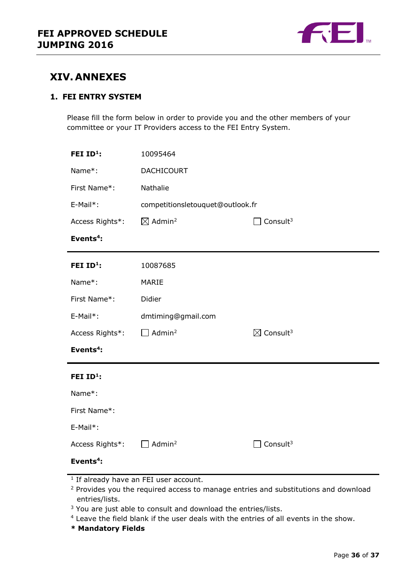

### <span id="page-35-0"></span>**XIV. ANNEXES**

### **1. FEI ENTRY SYSTEM**

Please fill the form below in order to provide you and the other members of your committee or your IT Providers access to the FEI Entry System.

| FEI ID <sup>1</sup> : | 10095464                         |                                  |  |  |  |
|-----------------------|----------------------------------|----------------------------------|--|--|--|
| Name*:                | <b>DACHICOURT</b>                |                                  |  |  |  |
| First Name*:          | Nathalie                         |                                  |  |  |  |
| E-Mail*:              | competitionsletouquet@outlook.fr |                                  |  |  |  |
| Access Rights*:       | $\boxtimes$ Admin <sup>2</sup>   | Consult <sup>3</sup>             |  |  |  |
| Events <sup>4</sup> : |                                  |                                  |  |  |  |
| FEI ID <sup>1</sup> : | 10087685                         |                                  |  |  |  |
| Name*:                | MARIE                            |                                  |  |  |  |
| First Name*:          | Didier                           |                                  |  |  |  |
| E-Mail*:              | dmtiming@gmail.com               |                                  |  |  |  |
| Access Rights*:       | Admin <sup>2</sup>               | $\boxtimes$ Consult <sup>3</sup> |  |  |  |
| Events <sup>4</sup> : |                                  |                                  |  |  |  |
| FEI ID <sup>1</sup> : |                                  |                                  |  |  |  |
| Name*:                |                                  |                                  |  |  |  |
| First Name*:          |                                  |                                  |  |  |  |
| E-Mail*:              |                                  |                                  |  |  |  |
| Access Rights*:       | Admin <sup>2</sup>               | Consult $3$                      |  |  |  |
| Events <sup>4</sup> : |                                  |                                  |  |  |  |

- <sup>1</sup> If already have an FEI user account.
- <sup>2</sup> Provides you the required access to manage entries and substitutions and download entries/lists.
- <sup>3</sup> You are just able to consult and download the entries/lists.
- <sup>4</sup> Leave the field blank if the user deals with the entries of all events in the show.
- **\* Mandatory Fields**